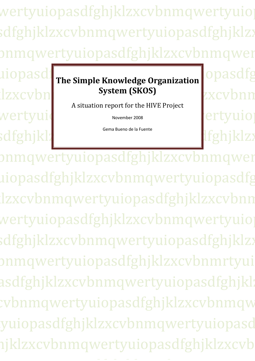wertyuiopasdfghjklzxcvbnmqwertyuio sdfghjklzxcvbnmqwertyuiopasdfghjklzz onmqwertyuiopasdfghjklzxcvbnmqwer **The Simple Knowledge Organization OPASdfgord** 

# jklzxcvbnmqwertyuiopasdfghjklzxcvbnm **System (SKOS)**

A situation report for the HIVE Project

November 2008

Gema Bueno de la Fuente

wertyuid November 2008 rertyuiop asdfghjklzxchilden.com

onmqwertyuiopasdfghjklzxcvbnmqwer uiopasdfghjklzxcvbnmqwertyuiopasdfg lzxcvbnmqwertyuiopasdfghjklzxcvbnn qwertyuiopasdfghjklzxcvbnmqwertyuiop  $\operatorname{sdfgh}$ jklzxcvbnmqwertyuiopasdfghjklzz onmqwertyuiopasdfghjklzxcvbnmrtyui asdfghjklzxcvbnmqwertyuiopasdfghjkl: cvbnmqwertyuiopasdfghjklzxcvbnmqw wiopasdfghjklzxcvbnmqwertyuiopasd iklzxcvbnmqwertyuiopasdfghjklzxcvb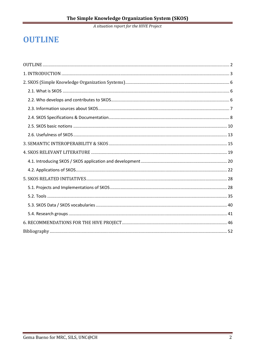## **OUTLINE**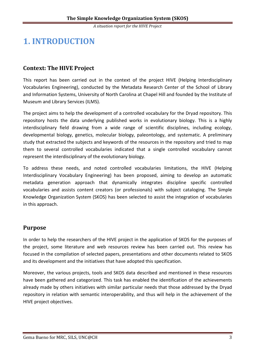## **1. INTRODUCTION**

## **Context: The HIVE Project**

This report has been carried out in the context of the project HIVE (Helping Interdisciplinary Vocabularies Engineering), conducted by the Metadata Research Center of the School of Library and Information Systems, University of North Carolina at Chapel Hill and founded by the Institute of Museum and Library Services (ILMS).

The project aims to help the development of a controlled vocabulary for the Dryad repository. This repository hosts the data underlying published works in evolutionary biology. This is a highly interdisciplinary field drawing from a wide range of scientific disciplines, including ecology, developmental biology, genetics, molecular biology, paleontology, and systematic. A preliminary study that extracted the subjects and keywords of the resources in the repository and tried to map them to several controlled vocabularies indicated that a single controlled vocabulary cannot represent the interdisciplinary of the evolutionary biology.

To address these needs, and noted controlled vocabularies limitations, the HIVE (Helping Interdisciplinary Vocabulary Engineering) has been proposed, aiming to develop an automatic metadata generation approach that dynamically integrates discipline specific controlled vocabularies and assists content creators (or professionals) with subject cataloging. The Simple Knowledge Organization System (SKOS) has been selected to assist the integration of vocabularies in this approach.

## **Purpose**

In order to help the researchers of the HIVE project in the application of SKOS for the purposes of the project, some literature and web resources review has been carried out. This review has focused in the compilation of selected papers, presentations and other documents related to SKOS and its development and the initiatives that have adopted this specification.

Moreover, the various projects, tools and SKOS data described and mentioned in these resources have been gathered and categorized. This task has enabled the identification of the achievements already made by others initiatives with similar particular needs that those addressed by the Dryad repository in relation with semantic interoperability, and thus will help in the achievement of the HIVE project objectives.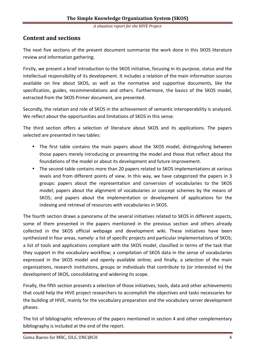## **Content and sections**

The next five sections of the present document summarize the work done in this SKOS literature review and information gathering.

Firstly, we present a brief introduction to the SKOS initiative, focusing in its purpose, status and the intellectual responsibility of its development. It includes a relation of the main information sources available on line about SKOS, as well as the normative and supportive documents, like the specification, guides, recommendations and others. Furthermore, the basics of the SKOS model, extracted from the SKOS Primer document, are presented.

Secondly, the relation and role of SKOS in the achievement of semantic interoperability is analyzed. We reflect about the opportunities and limitations of SKOS in this sense.

The third section offers a selection of literature about SKOS and its applications. The papers selected are presented in two tables:

- The first table contains the main papers about the SKOS model, distinguishing between those papers merely introducing or presenting the model and those that reflect about the foundations of the model or about its development and future improvement.
- The second table contains more than 20 papers related to SKOS implementations at various levels and from different points of view. In this way, we have categorized the papers in 3 groups: papers about the representation and conversion of vocabularies to the SKOS model; papers about the alignment of vocabularies or concept schemes by the means of SKOS; and papers about the implementation or development of applications for the indexing and retrieval of resources with vocabularies in SKOS.

The fourth section draws a panorama of the several initiatives related to SKOS in different aspects, some of them presented in the papers mentioned in the previous section and others already collected in the SKOS official webpage and development wiki. These initiatives have been synthesized in four areas, namely: a list of specific projects and particular implementations of SKOS; a list of tools and applications compliant with the SKOS model, classified in terms of the task that they support in the vocabulary workflow; a compilation of SKOS data in the sense of vocabularies expressed in the SKOS model and openly available online; and finally, a selection of the main organizations, research institutions, groups or individuals that contribute to (or interested in) the development of SKOS, consolidating and widening its scope.

Finally, the fifth section presents a selection of those initiatives, tools, data and other achievements that could help the HIVE project researchers to accomplish the objectives and tasks necessaries for the building of HIVE, mainly for the vocabulary preparation and the vocabulary server development phases.

The list of bibliographic references of the papers mentioned in section 4 and other complementary bibliography is included at the end of the report.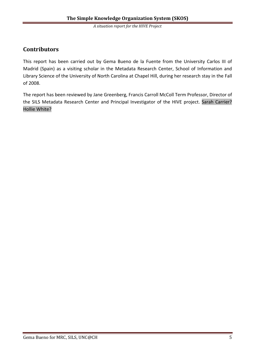## **Contributors**

This report has been carried out by Gema Bueno de la Fuente from the University Carlos III of Madrid (Spain) as a visiting scholar in the Metadata Research Center, School of Information and Library Science of the University of North Carolina at Chapel Hill, during her research stay in the Fall of 2008.

The report has been reviewed by Jane Greenberg, Francis Carroll McColl Term Professor, Director of the SILS Metadata Research Center and Principal Investigator of the HIVE project. Sarah Carrier? Hollie White?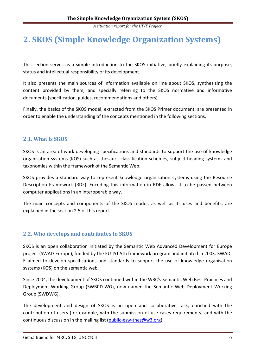## **2. SKOS (Simple Knowledge Organization Systems)**

This section serves as a simple introduction to the SKOS initiative, briefly explaining its purpose, status and intellectual responsibility of its development.

It also presents the main sources of information available on line about SKOS, synthesizing the content provided by them, and specially referring to the SKOS normative and informative documents (specification, guides, recommendations and others).

Finally, the basics of the SKOS model, extracted from the SKOS Primer document, are presented in order to enable the understanding of the concepts mentioned in the following sections.

## **2.1. What is SKOS**

SKOS is an area of work developing specifications and standards to support the use of knowledge organisation systems (KOS) such as thesauri, classification schemes, subject heading systems and taxonomies within the framework of the Semantic Web.

SKOS provides a standard way to represent knowledge organisation systems using the Resource Description Framework (RDF). Encoding this information in RDF allows it to be passed between computer applications in an interoperable way.

The main concepts and components of the SKOS model, as well as its uses and benefits, are explained in the section 2.5 of this report.

## **2.2. Who develops and contributes to SKOS**

SKOS is an open collaboration initiated by the Semantic Web Advanced Development for Europe project (SWAD-Europe), funded by the EU-IST 5th framework program and initiated in 2003. SWAD-E aimed to develop specifications and standards to support the use of knowledge organisation systems (KOS) on the semantic web.

Since 2004, the development of SKOS continued within the W3C's Semantic Web Best Practices and Deployment Working Group (SWBPD-WG), now named the Semantic Web Deployment Working Group (SWDWG).

The development and design of SKOS is an open and collaborative task, enriched with the contribution of users (for example, with the submission of use cases requirements) and with the continuous discussion in the mailing list (public-esw-thes@w3.org).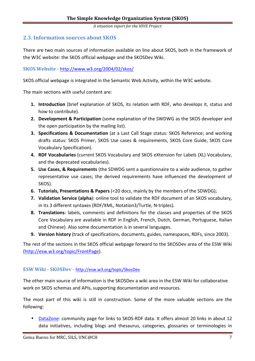## **2.3. Information sources about SKOS**

There are two main sources of information available on line about SKOS, both in the framework of the W3C website: the SKOS official webpage and the SKOSDev Wiki.

**SKOS Website -** http://www.w3.org/2004/02/skos/

SKOS official webpage is integrated in the Semantic Web Activity, within the W3C website.

The main sections with useful content are:

- **1. Introduction** (brief explanation of SKOS, its relation with RDF, who develops it, status and how to contribute).
- **2. Development & Participation** (some explanation of the SWDWG as the SKOS developer and the open participation by the mailing list).
- **3. Specifications & Documentation** (at a Last Call Stage status: SKOS Reference; and working drafts status: SKOS Primer, SKOS Use cases & requirements, SKOS Core Guide, SKOS Core Vocabulary Specification).
- **4. RDF Vocabularies** (current SKOS Vocabulary and SKOS eXtension for Labels (XL) Vocabulary, and the deprecated vocabularies).
- **5. Use Cases, & Requirements** (the SDWDG sent a questionnaire to a wide audience, to gather representative use cases; the derived requirements have influenced the development of SKOS).
- **6. Tutorials, Presentations & Papers** (<20 docs, mainly by the members of the SDWDG);
- **7. Validation Service (alpha**): online tool to validate the RDF document of an SKOS vocabulary, in its 3 different syntaxes (RDF/XML, Notation3/Turtle, N-triples).
- **8. Translations**: labels, comments and definitions for the classes and properties of the SKOS Core Vocabulary are available in RDF in English, French, Dutch, German, Portuguese, Italian and Chinese). Also some documentation is in several languages.
- **9. Version history** (track of specifications, documents, guides, namespaces, RDFs, since 2003).

The rest of the sections in the SKOS official webpage forward to the SKOSDev area of the ESW Wiki (http://esw.w3.org/topic/FrontPage).

## **ESW Wiki - SKOSDev -** http://esw.w3.org/topic/SkosDev

The other main source of information is the SKOSDev a wiki area in the ESW Wiki for collaborative work on SKOS schemas and APIs, supporting documentation and resources.

The most part of this wiki is still in construction. Some of the more valuable sections are the following:

• DataZone: community page for links to SKOS-RDF data. It offers almost 20 links in about 12 data initiatives, including blogs and thesaurus, categories, glossaries or terminologies in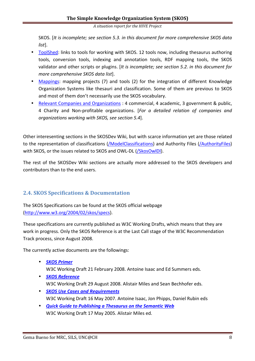SKOS. [*It is incomplete; see section 5.3. in this document for more comprehensive SKOS data list*].

- ToolShed: links to tools for working with SKOS. 12 tools now, including thesaurus authoring tools, conversion tools, indexing and annotation tools, RDF mapping tools, the SKOS validator and other scripts or plugins. [*It is incomplete; see section 5.2. in this document for more comprehensive SKOS data list*].
- Mappings: mapping projects (7) and tools (2) for the integration of different Knowledge Organization Systems like thesauri and classification. Some of them are previous to SKOS and most of them don't necessarily use the SKOS vocabulary.
- Relevant Companies and Organizations : 4 commercial, 4 academic, 3 government & public, 4 Charity and Non-profitable organizations. [*For a detailed relation of companies and organizations working with SKOS, see section 5.4*].

Other interesenting sections in the SKOSDev Wiki, but with scarce information yet are those related to the representation of classifications (/ModelClassifications) and Authority Files (/AuthorityFiles) with SKOS, or the issues related to SKOS and OWL-DL (/SkosOwlDI).

The rest of the SKOSDev Wiki sections are actually more addressed to the SKOS developers and contributors than to the end users.

## **2.4. SKOS Specifications & Documentation**

The SKOS Specifications can be found at the SKOS official webpage (http://www.w3.org/2004/02/skos/specs).

These specifications are currently published as W3C Working Drafts, which means that they are work in progress. Only the SKOS Reference is at the Last Call stage of the W3C Recommendation Track process, since August 2008.

The currently active documents are the followings:

- *SKOS Primer* W3C Working Draft 21 February 2008. Antoine Isaac and Ed Summers eds.
- *SKOS Reference* W3C Working Draft 29 August 2008. Alistair Miles and Sean Bechhofer eds.
- *SKOS Use Cases and Requirements* W3C Working Draft 16 May 2007. Antoine Isaac, Jon Phipps, Daniel Rubin eds
- *Quick Guide to Publishing a Thesaurus on the Semantic Web* W3C Working Draft 17 May 2005. Alistair Miles ed.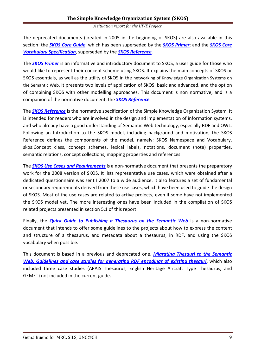The deprecated documents (created in 2005 in the beginning of SKOS) are also available in this section: the *SKOS Core Guide*, which has been superseded by the *SKOS Primer*; and the *SKOS Core Vocabulary Specification*, superseded by the *SKOS Reference*.

The *SKOS Primer* is an informative and introductory document to SKOS, a user guide for those who would like to represent their concept scheme using SKOS. It explains the main concepts of SKOS or SKOS essentials, as well as the utility of SKOS in the networking of Knowledge Organization Systems on the Semantic Web. It presents two levels of application of SKOS, basic and advanced, and the option of combining SKOS with other modelling approaches. This document is non normative, and is a companion of the normative document, the *SKOS Reference*.

The *SKOS Reference* is the normative specification of the Simple Knowledge Organization System. It is intended for readers who are involved in the design and implementation of information systems, and who already have a good understanding of Semantic Web technology, especially RDF and OWL. Following an Introduction to the SKOS model, including background and motivation, the SKOS Reference defines the components of the model, namely: SKOS Namespace and Vocabulary, skos:Concept class, concept schemes, lexical labels, notations, document (note) properties, semantic relations, concept collections, mapping properties and references.

The *SKOS Use Cases and Requirements* is a non-normative document that presents the preparatory work for the 2008 version of SKOS. It lists representative use cases, which were obtained after a dedicated questionnaire was sent I 2007 to a wide audience. It also features a set of fundamental or secondary requirements derived from these use cases, which have been used to guide the design of SKOS. Most of the use cases are related to active projects, even if some have not implemented the SKOS model yet. The more interesting ones have been included in the compilation of SKOS related projects presented in section 5.1 of this report.

Finally, the *Quick Guide to Publishing a Thesaurus on the Semantic Web* is a non-normative document that intends to offer some guidelines to the projects about how to express the content and structure of a thesaurus, and metadata about a thesaurus, in RDF, and using the SKOS vocabulary when possible.

This document is based in a previous and deprecated one, *Migrating Thesauri to the Semantic Web. Guidelines and case studies for generating RDF encodings of existing thesauri*, which also included three case studies (APAIS Thesaurus, English Heritage Aircraft Type Thesaurus, and GEMET) not included in the current guide.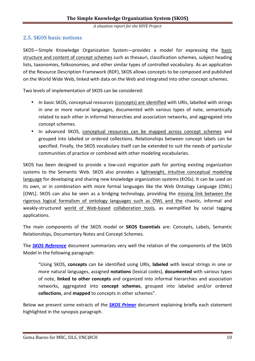## **2.5. SKOS basic notions**

SKOS—Simple Knowledge Organization System—provides a model for expressing the basic structure and content of concept schemes such as thesauri, classification schemes, subject heading lists, taxonomies, folksonomies, and other similar types of controlled vocabulary. As an application of the Resource Description Framework (RDF), SKOS allows concepts to be composed and published on the World Wide Web, linked with data on the Web and integrated into other concept schemes.

Two levels of implementation of SKOS can be considered:

- In basic SKOS, conceptual resources (concepts) are identified with URIs, labelled with strings in one or more natural languages, documented with various types of note, semantically related to each other in informal hierarchies and association networks, and aggregated into concept schemes.
- In advanced SKOS, conceptual resources can be mapped across concept schemes and grouped into labeled or ordered collections. Relationships between concept labels can be specified. Finally, the SKOS vocabulary itself can be extended to suit the needs of particular communities of practice or combined with other modeling vocabularies.

SKOS has been designed to provide a low-cost migration path for porting existing organization systems to the Semantic Web. SKOS also provides a lightweight, intuitive conceptual modeling language for developing and sharing new knowledge organization systems (KOSs). It can be used on its own, or in combination with more formal languages like the Web Ontology Language (OWL) [OWL]. SKOS can also be seen as a bridging technology, providing the missing link between the rigorous logical formalism of ontology languages such as OWL and the chaotic, informal and weakly-structured world of Web-based collaboration tools, as exemplified by social tagging applications.

The main components of the SKOS model or **SKOS Essentials** are: Concepts, Labels, Semantic Relationships, Documentary Notes and Concept Schemes.

The *SKOS Reference* document summarizes very well the relation of the components of the SKOS Model in the following paragraph:

"Using SKOS, **concepts** can be identified using URIs, **labeled** with lexical strings in one or more natural languages, assigned **notations** (lexical codes), **documented** with various types of note, **linked to other concepts** and organized into informal hierarchies and association networks, aggregated into **concept schemes**, grouped into labeled and/or ordered **collections**, and **mapped** to concepts in other schemes".

Below we present some extracts of the *SKOS Primer* document explaining briefly each statement highlighted in the synopsis paragraph.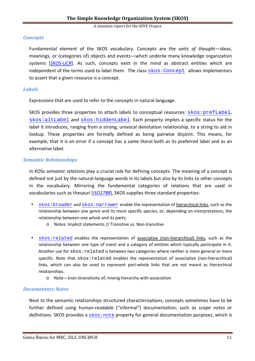## *Concepts*

Fundamental element of the SKOS vocabulary. Concepts are the *units of thought*—ideas, meanings, or (categories of) objects and events—which underlie many knowledge organization systems [SKOS-UCR]. As such, concepts exist in the mind as abstract entities which are independent of the terms used to label them. The class  $s\text{kos:Concept}$  allows implementors to assert that a given resource is a concept.

## *Labels*

Expressions that are used to refer to the concepts in natural language.

SKOS provides three properties to attach labels to conceptual resources: skos:prefLabel, skos:altLabel and skos:hiddenLabel. Each property implies a specific status for the label it introduces, ranging from a strong, univocal denotation relationship, to a string to aid in lookup. These properties are formally defined as being pairwise disjoint. This means, for example, that it is an error if a concept has a same literal both as its preferred label and as an alternative label.

## *Semantic Relationships*

In KOSs *semantic relations* play a crucial role for defining concepts. The meaning of a concept is defined not just by the natural-language words in its labels but also by its links to other concepts in the vocabulary. Mirroring the fundamental categories of relations that are used in vocabularies such as thesauri [*ISO2788*], SKOS supplies three standard properties:

- skos:broader and skos:narrower enable the representation of hierarchical links, such as the relationship between one *genre* and its more specific *species*, or, depending on interpretations, the relationship between one *whole* and its *parts*;
	- o Notes: Implicit statements // Transitive vs. Non-transitive
- skos:related enables the representation of associative (non-hierarchical) links, such as the relationship between one type of *event* and a category of entities which typically *participate* in it. Another use for  $skos:related$  is between two categories where neither is more general or more specific. Note that skos: related enables the representation of associative (non-hierarchical) links, which can also be used to represent part-whole links that are not meant as hierarchical relationships.
	- o Note—(non-)transitivity of; mixing hierarchy with association

## *Documentary Notes*

Next to the semantic relationships structured characterizations, concepts sometimes have to be further defined using human-readable ("informal") documentation, such as *scope notes* or definitions. SKOS provides a skos: note property for general documentation purposes, which is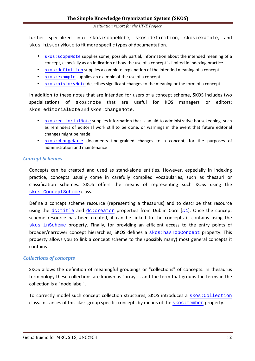further specialized into skos:scopeNote, skos:definition, skos:example, and skos:historyNote to fit more specific types of documentation.

- skos:scopeNote supplies some, possibly partial, information about the intended meaning of a concept, especially as an indication of how the use of a concept is limited in indexing practice.
- skos:definition supplies a complete explanation of the intended meaning of a concept.
- skos:example supplies an example of the use of a concept.
- skos:historyNote describes significant changes to the meaning or the form of a concept.

In addition to these notes that are intended for users of a concept scheme, SKOS includes two specializations of skos:note that are useful for KOS managers or editors: skos:editorialNote and skos:changeNote.

- skos: editorialNote supplies information that is an aid to administrative housekeeping, such as reminders of editorial work still to be done, or warnings in the event that future editorial changes might be made:
- skos:changeNote documents fine-grained changes to a concept, for the purposes of administration and maintenance

#### *Concept Schemes*

Concepts can be created and used as stand-alone entities. However, especially in indexing practice, concepts usually come in carefully compiled vocabularies, such as thesauri or classification schemes. SKOS offers the means of representing such KOSs using the skos:ConceptScheme class.

Define a concept scheme resource (representing a thesaurus) and to describe that resource using the dc:title and dc:creator properties from Dublin Core [DC]. Once the concept scheme resource has been created, it can be linked to the concepts it contains using the skos:inScheme property. Finally, for providing an efficient access to the entry points of broader/narrower concept hierarchies, SKOS defines a skos:hasTopConcept property. This property allows you to link a concept scheme to the (possibly many) most general concepts it contains

## *Collections of concepts*

SKOS allows the definition of meaningful groupings or "collections" of concepts. In thesaurus terminology these collections are known as "arrays", and the term that groups the terms in the collection is a "node label".

To correctly model such concept collection structures, SKOS introduces a skos:Collection class. Instances of this class group specific concepts by means of the skos: member property.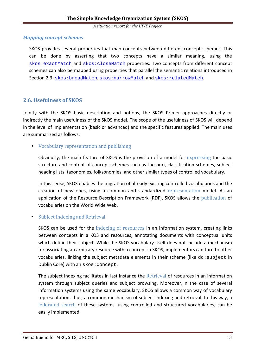## *Mapping concept schemes*

SKOS provides several properties that map concepts between different concept schemes. This can be done by asserting that two concepts have a similar meaning, using the skos:exactMatch and skos:closeMatch properties. Two concepts from different concept schemes can also be mapped using properties that parallel the semantic relations introduced in Section 2.3: skos:broadMatch, skos:narrowMatch and skos:relatedMatch.

## **2.6. Usefulness of SKOS**

Jointly with the SKOS basic description and notions, the SKOS Primer approaches directly or indirectly the main usefulness of the SKOS model. The scope of the usefulness of SKOS will depend in the level of implementation (basic or advanced) and the specific features applied. The main uses are summarized as follows:

## • Vocabulary representation and publishing

Obviously, the main feature of SKOS is the provision of a model for expressing the basic structure and content of concept schemes such as thesauri, classification schemes, subject heading lists, taxonomies, folksonomies, and other similar types of controlled vocabulary.

In this sense, SKOS enables the migration of already existing controlled vocabularies and the creation of new ones, using a common and standardized representation model. As an application of the Resource Description Framework (RDF), SKOS allows the publication of vocabularies on the World Wide Web.

## • Subject Indexing and Retrieval

SKOS can be used for the indexing of resources in an information system, creating links between concepts in a KOS and resources, annotating documents with conceptual units which define their subject. While the SKOS vocabulary itself does not include a mechanism for associating an arbitrary resource with a concept in SKOS, implementors can turn to other vocabularies, linking the subject metadata elements in their scheme (like dc: subject in Dublin Core) with an skos:Concept.

The subject indexing facilitates in last instance the Retrieval of resources in an information system through subject queries and subject browsing. Moreover, n the case of several information systems using the same vocabulary, SKOS allows a common way of vocabulary representation, thus, a common mechanism of subject indexing and retrieval. In this way, a federated search of these systems, using controlled and structured vocabularies, can be easily implemented.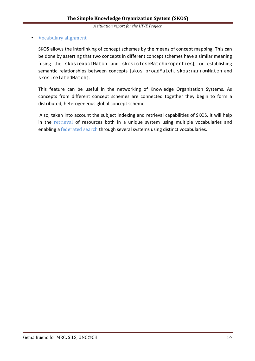## • Vocabulary alignment

SKOS allows the interlinking of concept schemes by the means of concept mapping. This can be done by asserting that two concepts in different concept schemes have a similar meaning [using the skos:exactMatch and skos:closeMatchproperties], or establishing semantic relationships between concepts [skos:broadMatch, skos:narrowMatch and skos:relatedMatch].

This feature can be useful in the networking of Knowledge Organization Systems. As concepts from different concept schemes are connected together they begin to form a distributed, heterogeneous global concept scheme.

 Also, taken into account the subject indexing and retrieval capabilities of SKOS, it will help in the retrieval of resources both in a unique system using multiple vocabularies and enabling a federated search through several systems using distinct vocabularies.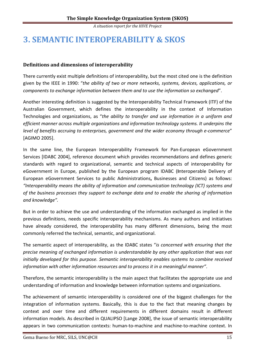## **3. SEMANTIC INTEROPERABILITY & SKOS**

## **Definitions and dimensions of interoperability**

There currently exist multiple definitions of interoperability, but the most cited one is the definition given by the IEEE in 1990: "*the ability of two or more networks, systems, devices, applications, or components to exchange information between them and to use the information so exchanged*".

Another interesting definition is suggested by the Interoperability Technical Framework (ITF) of the Australian Government, which defines the interoperability in the context of Information Technologies and organizations, as "*the ability to transfer and use information in a uniform and efficient manner across multiple organizations and information technology systems. It underpins the level of benefits accruing to enterprises, government and the wider economy through e-commerce*" [AGIMO 2005].

In the same line, the European Interoperability Framework for Pan-European eGovernment Services [IDABC 2004], reference document which provides recommendations and defines generic standards with regard to organizational, semantic and technical aspects of interoperability for eGovernment in Europe, published by the European program IDABC (**I**nteroperable Delivery of European eGovernment Services to public Administrations**,** Businesses and Citizens) as follows: *"Interoperability means the ability of information and communication technology (ICT) systems and of the business processes they support to exchange data and to enable the sharing of information and knowledge".* 

But in order to achieve the use and understanding of the information exchanged as implied in the previous definitions, needs specific interoperability mechanisms. As many authors and initiatives have already considered, the interoperability has many different dimensions, being the most commonly referred the technical, semantic, and organizational.

The semantic aspect of interoperability, as the IDABC states "*is concerned with ensuring that the precise meaning of exchanged information is understandable by any other application that was not initially developed for this purpose. Semantic interoperability enables systems to combine received information with other information resources and to process it in a meaningful manner"*.

Therefore, the semantic interoperability is the main aspect that facilitates the appropriate use and understanding of information and knowledge between information systems and organizations.

The achievement of semantic interoperability is considered one of the biggest challenges for the integration of information systems. Basically, this is due to the fact that meaning changes by context and over time and different requirements in different domains result in different information models. As described in QUALIPSO [Lange 2008], the issue of semantic interoperability appears in two communication contexts: human-to-machine and machine-to-machine context. In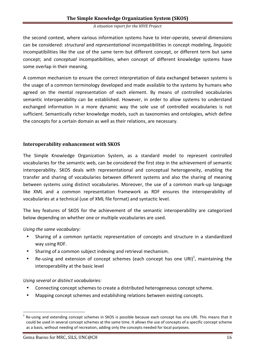the second context, where various information systems have to inter-operate, several dimensions can be considered: *structural* and *representational* incompatibilities in concept modeling, *linguistic* incompatibilities like the use of the same term but different concept, or different term but same concept; and *conceptual* incompatibilities, when concept of different knowledge systems have some overlap in their meaning.

A common mechanism to ensure the correct interpretation of data exchanged between systems is the usage of a common terminology developed and made available to the systems by humans who agreed on the mental representation of each element. By means of controlled vocabularies semantic interoperability can be established. However, in order to allow systems to understand exchanged information in a more dynamic way the sole use of controlled vocabularies is not sufficient. Semantically richer knowledge models, such as taxonomies and ontologies, which define the concepts for a certain domain as well as their relations, are necessary.

## **Interoperability enhancement with SKOS**

The Simple Knowledge Organization System, as a standard model to represent controlled vocabularies for the semantic web, can be considered the first step in the achievement of semantic interoperability. SKOS deals with representational and conceptual heterogeneity, enabling the transfer and sharing of vocabularies between different systems and also the sharing of meaning between systems using distinct vocabularies. Moreover, the use of a common mark-up language like XML and a common representation framework as RDF ensures the interoperability of vocabularies at a technical (use of XML file format) and syntactic level.

The key features of SKOS for the achievement of the semantic interoperability are categorized below depending on whether one or multiple vocabularies are used.

## *Using the same vocabulary:*

- Sharing of a common syntactic representation of concepts and structure in a standardized way using RDF.
- Sharing of a common subject indexing and retrieval mechanism.
- Re-using and extension of concept schemes (each concept has one URI)<sup>1</sup>, maintaining the interoperability at the basic level

## *Using several or distinct vocabularies:*

- Connecting concept schemes to create a distributed heterogeneous concept scheme.
- Mapping concept schemes and establishing relations between existing concepts.

 $\overline{a}$ 

<sup>1</sup> Re-using and extending concept schemes in SKOS is possible because each concept has one URI. This means that it could be used in several concept schemes at the same time. It allows the use of concepts of a specific concept scheme as a basis, without needing of recreation, adding only the concepts needed for local purposes.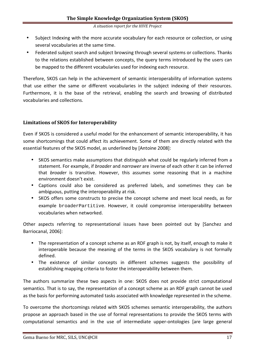- Subject Indexing with the more accurate vocabulary for each resource or collection, or using several vocabularies at the same time.
- Federated subject search and subject browsing through several systems or collections. Thanks to the relations established between concepts, the query terms introduced by the users can be mapped to the different vocabularies used for indexing each resource.

Therefore, SKOS can help in the achievement of semantic interoperability of information systems that use either the same or different vocabularies in the subject indexing of their resources. Furthermore, it is the base of the retrieval, enabling the search and browsing of distributed vocabularies and collections.

## **Limitations of SKOS for Interoperability**

Even if SKOS is considered a useful model for the enhancement of semantic interoperability, it has some shortcomings that could affect its achievement. Some of them are directly related with the essential features of the SKOS model, as underlined by [Antoine 2008]:

- SKOS semantics make assumptions that distinguish what could be regularly inferred from a statement. For example, if *broader* and *narrower* are inverse of each other it can be inferred that *broader* is transitive. However, this assumes some reasoning that in a machine environment doesn't exist.
- Captions could also be considered as preferred labels, and sometimes they can be ambiguous, putting the interoperability at risk.
- SKOS offers some constructs to precise the concept scheme and meet local needs, as for example broaderPartitive. However, it could compromise interoperability between vocabularies when networked.

Other aspects referring to representational issues have been pointed out by [Sanchez and Barriocanal, 2006]:

- The representation of a concept scheme as an RDF graph is not, by itself, enough to make it interoperable because the meaning of the terms in the SKOS vocabulary is not formally defined.
- The existence of similar concepts in different schemes suggests the possibility of establishing mapping criteria to foster the interoperability between them.

The authors summarize these two aspects in one: SKOS does not provide strict computational semantics. That is to say, the representation of a concept scheme as an RDF graph cannot be used as the basis for performing automated tasks associated with knowledge represented in the scheme.

To overcome the shortcomings related with SKOS schemes semantic interoperability, the authors propose an approach based in the use of formal representations to provide the SKOS terms with computational semantics and in the use of intermediate upper-ontologies [are large general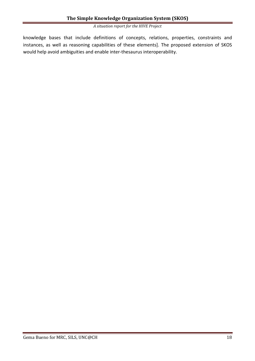knowledge bases that include definitions of concepts, relations, properties, constraints and instances, as well as reasoning capabilities of these elements]. The proposed extension of SKOS would help avoid ambiguities and enable inter-thesaurus interoperability.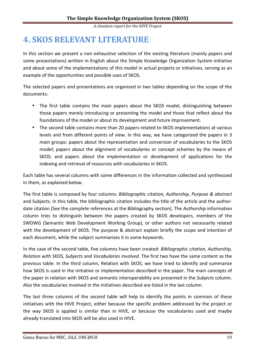## **4. SKOS RELEVANT LITERATURE**

In this section we present a non exhaustive selection of the existing literature (mainly papers and some presentations) written in English about the Simple Knowledge Organization System initiative and about some of the implementations of this model in actual projects or initiatives, serving as an example of the opportunities and possible uses of SKOS.

The selected papers and presentations are organized in two tables depending on the scope of the documents:

- The first table contains the main papers about the SKOS model, distinguishing between those papers merely introducing or presenting the model and those that reflect about the foundations of the model or about its development and future improvement.
- The second table contains more than 20 papers related to SKOS implementations at various levels and from different points of view. In this way, we have categorized the papers in 3 main groups: papers about the representation and conversion of vocabularies to the SKOS model; papers about the alignment of vocabularies or concept schemes by the means of SKOS; and papers about the implementation or development of applications for the indexing and retrieval of resources with vocabularies in SKOS.

Each table has several columns with some differences in the information collected and synthesized in them, as explained below.

The first table is composed by four columns: *Bibliographic citation, Authorship, Purpose & abstract*  and Subjects. In this table, the bibliographic citation includes the title of the article and the authordate citation [See the complete references at the Bibliography section]. The *Authorship* information column tries to distinguish between the papers created by SKOS developers, members of the SWDWG (Semantic Web Development Working Group), or other authors not necessarily related with the development of SKOS. The purpose & abstract explain briefly the scope and intention of each document, while the subject summarizes it in some keywords.

In the case of the second table, five columns have been created: *Bibliographic citation, Authorship, Relation with SKOS, Subjects* and *Vocabularies involved*. The first two have the same content as the previous table. In the third column, Relation with SKOS, we have tried to identify and summarize how SKOS is used in the initiative or implementation described in the paper. The main concepts of the paper in relation with SKOS and semantic interoperability are presented in the *Subjects* column. Also the vocabularies involved in the initiatives described are listed in the last column.

The last three columns of the second table will help to identify the points in common of these initiatives with the HIVE Project, either because the specific problem addressed by the project or the way SKOS is applied is similar than in HIVE, or because the vocabularies used and maybe already translated into SKOS will be also used in HIVE.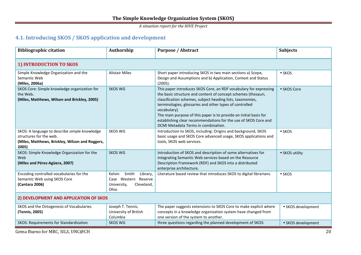## **4.1. Introducing SKOS / SKOS application and development**

| <b>Bibliographic citation</b>                                                                                                        | Authorship                                                                               | <b>Purpose / Abstract</b>                                                                                                                                                                                                                                                                                                                                                                                                                                  | <b>Subjects</b>    |  |  |  |  |
|--------------------------------------------------------------------------------------------------------------------------------------|------------------------------------------------------------------------------------------|------------------------------------------------------------------------------------------------------------------------------------------------------------------------------------------------------------------------------------------------------------------------------------------------------------------------------------------------------------------------------------------------------------------------------------------------------------|--------------------|--|--|--|--|
| 1) INTRODUCTION TO SKOS                                                                                                              |                                                                                          |                                                                                                                                                                                                                                                                                                                                                                                                                                                            |                    |  |  |  |  |
| Simple Knowledge Organization and the<br>Semantic Web<br>(Miles, 2006a)                                                              | <b>Alistair Miles</b>                                                                    | Short paper introducing SKOS in two main sections a) Scope,<br>Design and Assumptions and b) Application, Context and Status<br>(2005).                                                                                                                                                                                                                                                                                                                    | $\bullet$ SKOS     |  |  |  |  |
| SKOS Core: Simple knowledge organization for<br>the Web.<br>(Miles, Matthews, Wilson and Brickley, 2005)                             | <b>SKOS WG</b>                                                                           | This paper introduces SKOS Core, an RDF vocabulary for expressing<br>the basic structure and content of concept schemes (thesauri,<br>classification schemes, subject heading lists, taxonomies,<br>terminologies, glossaries and other types of controlled<br>vocabulary).<br>The main purpose of this paper is to provide an initial basis for<br>establishing clear recommendations for the use of SKOS Core and<br>DCMI Metadata Terms in combination. | • SKOS Core        |  |  |  |  |
| SKOS: A language to describe simple knowledge<br>structures for the web.<br>(Miles, Matthews, Brickley, Wilson and Roggers,<br>2005) | <b>SKOS WG</b>                                                                           | Introduction to SKOS, including: Origins and background, SKOS<br>basic usage and SKOS Core advanced usage, SKOS applications and<br>tools, SKOS web services.                                                                                                                                                                                                                                                                                              | $\bullet$ SKOS     |  |  |  |  |
| SKOS: Simple Knowledge Organization for the<br>Web<br>(Miles and Pérez-Agüera, 2007)                                                 | <b>SKOS WG</b>                                                                           | Introduction of SKOS and description of some alternatives for<br>integrating Semantic Web services based on the Resource<br>Description Framework (RDF) and SKOS into a distributed<br>enterprise architecture.                                                                                                                                                                                                                                            | • SKOS utility     |  |  |  |  |
| Encoding controlled vocabularies for the<br>Semantic Web using SKOS Core<br>(Cantara 2006)                                           | Kelvin<br>Smith<br>Library,<br>Case Western Reserve<br>University,<br>Cleveland,<br>Ohio | Literature based review that introduces SKOS to digital librarians.                                                                                                                                                                                                                                                                                                                                                                                        | $\bullet$ SKOS     |  |  |  |  |
| 2) DEVELOPMENT AND APPLICATION OF SKOS                                                                                               |                                                                                          |                                                                                                                                                                                                                                                                                                                                                                                                                                                            |                    |  |  |  |  |
| SKOS and the Ontogenesis of Vocabularies<br>(Tennis, 2005)                                                                           | Joseph T. Tennis,<br>University of British<br>Columbia                                   | The paper suggests extensions to SKOS Core to make explicit where<br>concepts in a knowledge organization system have changed from<br>one version of the system to another.                                                                                                                                                                                                                                                                                | • SKOS development |  |  |  |  |
| SKOS: Requirements for Standardization                                                                                               | <b>SKOS WG</b>                                                                           | three questions regarding the planned development of SKOS:                                                                                                                                                                                                                                                                                                                                                                                                 | • SKOS development |  |  |  |  |

Gema Bueno for MRC, SILS, UNC@CH 20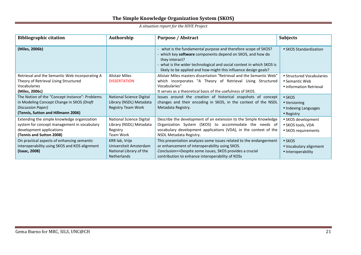|  | A situation report for the HIVE Project |  |  |
|--|-----------------------------------------|--|--|
|--|-----------------------------------------|--|--|

| <b>Bibliographic citation</b>                                                                                                                          | Authorship                                                                              | <b>Purpose / Abstract</b>                                                                                                                                                                                                                                                                  | <b>Subjects</b>                                                              |
|--------------------------------------------------------------------------------------------------------------------------------------------------------|-----------------------------------------------------------------------------------------|--------------------------------------------------------------------------------------------------------------------------------------------------------------------------------------------------------------------------------------------------------------------------------------------|------------------------------------------------------------------------------|
| (Miles, 2006b)                                                                                                                                         |                                                                                         | - what is the fundamental purpose and therefore scope of SKOS?<br>- which key software components depend on SKOS, and how do<br>they interact?<br>- what is the wider technological and social context in which SKOS is<br>likely to be applied and how might this influence design goals? | • SKOS Standardization                                                       |
| Retrieval and the Semantic Web incorporating A<br>Theory of Retrieval Using Structured<br><b>Vocabularies</b><br>(Miles, 2006c)                        | <b>Alistair Miles</b><br><b>DISSERTATION</b>                                            | Alistair Miles masters dissertation "Retrieval and the Semantic Web"<br>which incorporates "A Theory of Retrieval Using Structured<br>Vocabularies"<br>It serves as a theoretical basis of the usefulness of SKOS.                                                                         | • Structured Vocabularies<br>• Semantic Web<br>• Information Retrieval       |
| The Notion of the "Concept Instance": Problems<br>in Modeling Concept Change in SKOS (Draft<br>Discussion Paper)<br>(Tennis, Sutton and Hillmann 2006) | <b>National Science Digital</b><br>Library (NSDL) Metadata<br><b>Registry Team Work</b> | Issues around the creation of historical snapshots of concept<br>changes and their encoding in SKOS, in the context of the NSDL<br>Metadata Registry.                                                                                                                                      | $\bullet$ SKOS<br>• Versioning<br>• Indexing Languages<br>$\bullet$ Registry |
| Extending the simple knowledge organization<br>system for concept management in vocabulary<br>development applications<br>(Tennis and Sutton 2008)     | <b>National Science Digital</b><br>Library (NSDL) Metadata<br>Registry<br>Team Work     | Describe the development of an extension to the Simple Knowledge<br>Organization System (SKOS) to accommodate the needs of<br>vocabulary development applications (VDA), in the context of the<br>NSDL Metadata Registry.                                                                  | • SKOS development<br>• SKOS tools, VDA<br>• SKOS requirements               |
| On practical aspects of enhancing semantic<br>interoperability using SKOS and KOS alignment<br>(Isaac, 2008)                                           | KRR lab, Vrije<br>Universiteit Amsterdam<br>National Library of the<br>Netherlands      | This presentation analyzes some issues related to the endangerment<br>or enhancement of interoperability using SKOS.<br>Conclusion>>Despite some issues, SKOS provides a crucial<br>contribution to enhance interoperability of KOSs                                                       | $\bullet$ SKOS<br>• Vocabulary alignment<br>• Interoperability               |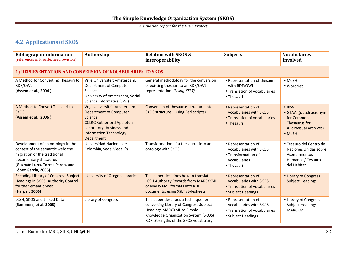## **4.2. Applications of SKOS**

| <b>Bibliographic information</b><br>(references in Procite, need revision)                                                                                                               | Authorship                                                                                                                                                                               | <b>Relation with SKOS &amp;</b><br>interoperability                                                                                                                                                  | <b>Subjects</b>                                                                                      | <b>Vocabularies</b><br>involved                                                                                   |
|------------------------------------------------------------------------------------------------------------------------------------------------------------------------------------------|------------------------------------------------------------------------------------------------------------------------------------------------------------------------------------------|------------------------------------------------------------------------------------------------------------------------------------------------------------------------------------------------------|------------------------------------------------------------------------------------------------------|-------------------------------------------------------------------------------------------------------------------|
| 1) REPRESENTATION AND CONVERSION OF VOCABULARIES TO SKOS                                                                                                                                 |                                                                                                                                                                                          |                                                                                                                                                                                                      |                                                                                                      |                                                                                                                   |
| A Method for Converting Thesauri to<br>RDF/OWL<br>(Assem et al., 2004)                                                                                                                   | Vrije Universiteit Amsterdam,<br>Department of Computer<br>Science<br>University of Amsterdam, Social<br>Science Informatics (SWI)                                                       | General methodology for the conversion<br>of existing thesauri to an RDF/OWL<br>representation. (Using XSLT)                                                                                         | • Representation of thesauri<br>with RDF/OWL<br>• Translation of vocabularies<br>• Thesauri          | • MeSH<br>• WordNet                                                                                               |
| A Method to Convert Thesauri to<br><b>SKOS</b><br>(Assem et al., 2006)                                                                                                                   | Vrije Universiteit Amsterdam,<br><b>Department of Computer</b><br>Science<br><b>CCLRC Rutherford Appleton</b><br>Laboratory, Business and<br><b>Information Technology</b><br>Department | Conversion of thesaurus structure into<br><b>SKOS structure. (Using Perl scripts)</b>                                                                                                                | • Representation of<br>vocabularies with SKOS<br>• Translation of vocabularies<br>• Thesauri         | • IPSV<br>• GTAA ((dutch acronym<br>for Common<br>Thesaurus for<br><b>Audiovisual Archives)</b><br>$\bullet$ MeSH |
| Development of an ontology in the<br>context of the semantic web: the<br>migration of the traditional<br>documentary thesaurus<br>(Guzmán Luna, Torres Pardo, and<br>López García, 2006) | Universidad Nacional de<br>Colombia, Sede Medellín                                                                                                                                       | Transformation of a thesaurus into an<br>ontology with SKOS                                                                                                                                          | • Representation of<br>vocabularies with SKOS<br>• Transformation of<br>vocabularies<br>• Thesauri   | · Tesauro del Centro de<br>Naciones Unidas sobre<br>Asentamientos<br>Humanos / Tesauro<br>del Hábitat.            |
| <b>Encoding Library of Congress Subject</b><br><b>Headings in SKOS: Authority Control</b><br>for the Semantic Web<br>(Harper, 2006)                                                      | <b>University of Oregon Libraries</b>                                                                                                                                                    | This paper describes how to translate<br>LCSH Authority Records from MARC/XML<br>or MADS XML formats into RDF<br>documents, using XSLT stylesheets                                                   | • Representation of<br>vocabularies with SKOS<br>• Translation of vocabularies<br>• Subject Headings | • Library of Congress<br><b>Subject Headings</b>                                                                  |
| LCSH, SKOS and Linked Data<br>(Summers, et al. 2008)                                                                                                                                     | Library of Congress                                                                                                                                                                      | This paper describes a technique for<br>converting Library of Congress Subject<br><b>Headings MARCXML to Simple</b><br>Knowledge Organization System (SKOS)<br>RDF. Strengths of the SKOS vocabulary | • Representation of<br>vocabularies with SKOS<br>• Translation of vocabularies<br>• Subject Headings | • Library of Congress<br><b>Subject Headings</b><br><b>MARCXML</b>                                                |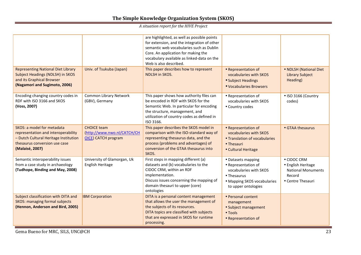| <b>Representing National Diet Library</b>                                                                                                                      | Univ. of Tsukuba (Japan)                                                        | are highlighted, as well as possible points<br>for extension, and the integration of other<br>semantic web vocabularies such as Dublin<br>Core. An application for making the<br>vocabulary available as linked-data on the<br>Web is also described.<br>This paper describes how to represent | • Representation of                                                                                                                      | • NDLSH (National Diet                                                                        |
|----------------------------------------------------------------------------------------------------------------------------------------------------------------|---------------------------------------------------------------------------------|------------------------------------------------------------------------------------------------------------------------------------------------------------------------------------------------------------------------------------------------------------------------------------------------|------------------------------------------------------------------------------------------------------------------------------------------|-----------------------------------------------------------------------------------------------|
| Subject Headings (NDLSH) in SKOS<br>and its Graphical Browser<br>(Nagamori and Sugimoto, 2006)                                                                 |                                                                                 | <b>NDLSH in SKOS.</b>                                                                                                                                                                                                                                                                          | vocabularies with SKOS<br>• Subject Headings<br>• Vocabularies Browsers                                                                  | <b>Library Subject</b><br>Heading)                                                            |
| Encoding changing country codes in<br>RDF with ISO 3166 and SKOS<br>(Voss, 2007)                                                                               | Common Library Network<br>(GBV), Germany                                        | This paper shows how authority files can<br>be encoded in RDF with SKOS for the<br>Semantic Web. In particular for encoding<br>the structure, management, and<br>utilization of country codes as defined in<br>ISO 3166.                                                                       | • Representation of<br>vocabularies with SKOS<br>• Country codes                                                                         | · ISO 3166 (Country<br>codes)                                                                 |
| SKOS: a model for metadata<br>representation and interoperability<br>- Dutch Cultural Heritage Institution<br>thesaurus conversion use case<br>(Malaisé, 2007) | <b>CHOICE team</b><br>(http://www.nwo.nl/CATCH/CH<br><b>OICE)</b> CATCH program | This paper describes the SKOS model in<br>comparison with the ISO-standard way of<br>representing thesaurus data, and the<br>process (problems and advantages) of<br>conversion of the GTAA thesaurus into<br>SKOS.                                                                            | • Representation of<br>vocabularies with SKOS<br>• Translation of vocabularies<br>• Thesauri<br>• Cultural Heritage                      | • GTAA thesaurus                                                                              |
| Semantic interoperability issues<br>from a case study in archaeology<br>(Tudhope, Binding and May, 2008)                                                       | University of Glamorgan, Uk<br>English Heritage                                 | First steps in mapping different (a)<br>datasets and (b) vocabularies to the<br>CIDOC CRM, within an RDF<br>implementation.<br>Discuss issues concerning the mapping of<br>domain thesauri to upper (core)<br>ontologies                                                                       | • Datasets mapping<br>• Representation of<br>vocabularies with SKOS<br>• Thesaurus<br>• Mapping SKOS vocabularies<br>to upper ontologies | • CIDOC CRM<br>• English Heritage<br><b>National Monuments</b><br>Record<br>• Centre Thesauri |
| Subject classification with DITA and<br><b>SKOS: managing formal subjects</b><br>(Hennon, Anderson and Bird, 2005)                                             | <b>IBM Corporation</b>                                                          | DITA is a personal content management<br>that allows the user the management of<br>the subjects of its resources.<br>DITA topics are classified with subjects<br>that are expressed in SKOS for runtime<br>processing.                                                                         | • Personal content<br>management<br>• Subject management<br>$\bullet$ Tools<br>• Representation of                                       |                                                                                               |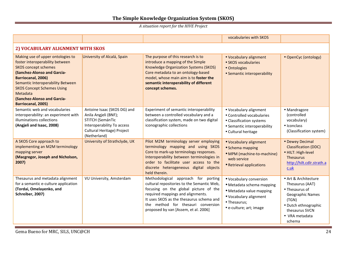|                                                                                                                                                                                                                                                                                                     |                                                                                                                                                     |                                                                                                                                                                                                                                                                                           | vocabularies with SKOS                                                                                                                                |                                                                                                                                                                     |  |  |  |
|-----------------------------------------------------------------------------------------------------------------------------------------------------------------------------------------------------------------------------------------------------------------------------------------------------|-----------------------------------------------------------------------------------------------------------------------------------------------------|-------------------------------------------------------------------------------------------------------------------------------------------------------------------------------------------------------------------------------------------------------------------------------------------|-------------------------------------------------------------------------------------------------------------------------------------------------------|---------------------------------------------------------------------------------------------------------------------------------------------------------------------|--|--|--|
|                                                                                                                                                                                                                                                                                                     | 2) VOCABULARY ALIGNMENT WITH SKOS                                                                                                                   |                                                                                                                                                                                                                                                                                           |                                                                                                                                                       |                                                                                                                                                                     |  |  |  |
| Making use of upper ontologies to<br>foster interoperability between<br><b>SKOS</b> concept schemes<br>(Sanchez-Alonso and Garcia-<br>Barriocanal, 2006)<br>Semantic Interoperability Between<br><b>SKOS Concept Schemes Using</b><br>Metadata<br>(Sanchez-Alonso and Garcia-<br>Barriocanal, 2005) | University of Alcalá, Spain                                                                                                                         | The purpose of this research is to<br>introduce a mapping of the Simple<br>Knowledge Organization Systems (SKOS)<br>Core metadata to an ontology-based<br>model, whose main aim is to foster the<br>semantic interoperability of different<br>concept schemes.                            | • Vocabulary alignment<br>• SKOS vocabularies<br>• Ontologies<br>• Semantic interoperability                                                          | • OpenCyc (ontology)                                                                                                                                                |  |  |  |
| Semantic web and vocabularies<br>interoperability: an experiment with<br>illuminations collections<br>(Angjeli and Isaac, 2008)                                                                                                                                                                     | Antoine Isaac (SKOS DG) and<br>Anila Angjeli (BNF);<br>STITCH (SemánTic<br>Interoperability To access<br>Cultural Heritage) Project<br>(Netherland) | Experiment of semantic interoperability<br>between a controlled vocabulary and a<br>classification system, made on two digital<br>iconographic collections                                                                                                                                | · Vocabulary alignment<br>• Controlled vocabularies<br>• Classification systems<br>• Semantic interoperability<br>• Cultural heritage                 | · Mandragore<br>(controlled<br>vocabulary)<br>• Iconclass<br>(Classification system)                                                                                |  |  |  |
| A SKOS Core approach to<br>implementing an M2M terminology<br>mapping server<br>(Macgregor, Joseph and Nicholson,<br>2007)                                                                                                                                                                          | University of Strathclyde, UK                                                                                                                       | Pilot M2M terminology server employing<br>terminology mapping and using SKOS<br>Core to mark-up terminology responses.<br>Interoperability between terminologies in<br>order to facilitate user access to the<br>discrete heterogeneous digital objects<br>held therein.                  | • Vocabulary alignment<br>· Schema mapping<br>• MPM (machine-to-machine)<br>web service<br>• Retrieval applications                                   | • Dewey Decimal<br><b>Classification (DDC)</b><br>· HILT: High-level<br>Thesaurus<br>http://hilt.cdlr.strath.a<br>$c.$ uk                                           |  |  |  |
| Thesaurus and metadata alignment<br>for a semantic e-culture application<br>(Tordai, Omelayenko, and<br>Schreiber, 2007)                                                                                                                                                                            | VU University, Amsterdam                                                                                                                            | Methodological approach for porting<br>cultural repositories to the Semantic Web,<br>focusing on the global picture of the<br>required mappings and alignments.<br>It uses SKOS as the thesaurus schema and<br>the method for thesauri conversion<br>proposed by van [Assem, et al. 2006] | · Vocabulary conversion<br>· Metadata schema mapping<br>· Metadata value mapping<br>· Vocabulary alignment<br>· Thesaurus;<br>• e-culture; art; image | • Art & Architecture<br>Thesaurus (AAT)<br>• Thesaurus of<br><b>Geographic Names</b><br>(TGN)<br>· Dutch ethnographic<br>thesaurus SVCN<br>• VRA metadata<br>schema |  |  |  |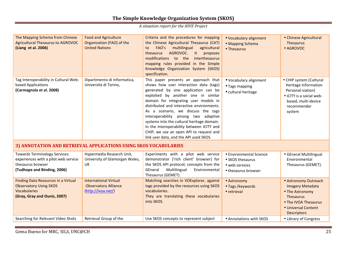| The Mapping Schema from Chinese<br><b>Agricultural Thesaurus to AGROVOC</b><br>(Liang et al. 2006)                                 | <b>Food and Agriculture</b><br>Organization (FAO) of the<br><b>United Nations</b> | Criteria and the procedures for mapping<br>the Chinese Agricultural Thesaurus (CAT)<br>FAO's<br>multilingual<br>agricultural<br>to<br>AGROVOC.<br>It<br>proposes<br>thesaurus<br>modifications to the<br>interthesaurus<br>mapping rules provided in the Simple<br>Knowledge Organization System (SKOS)<br>specification.                                                                                                                                                                                       | • Vocabulary alignment<br>• Mapping Schema<br>• Thesaurus                            | • Chinese Agricultural<br><b>Thesaurus</b><br>• AGROVOC                                                                                              |
|------------------------------------------------------------------------------------------------------------------------------------|-----------------------------------------------------------------------------------|-----------------------------------------------------------------------------------------------------------------------------------------------------------------------------------------------------------------------------------------------------------------------------------------------------------------------------------------------------------------------------------------------------------------------------------------------------------------------------------------------------------------|--------------------------------------------------------------------------------------|------------------------------------------------------------------------------------------------------------------------------------------------------|
| Tag Interoperability in Cultural Web-<br>based Applications<br>(Carmagnola et al. 2008)                                            | Dipartimento di Informatica,<br>Università di Torino,                             | This paper presents an approach that<br>shows how user interaction data (tags)<br>generated by one application can be<br>exploited by another one in similar<br>domain for integrating user models in<br>distributed and interactive environments.<br>As a scenario, we discuss the tags<br>interoperability among two adaptive<br>systems into the cultural heritage domain.<br>In the interoperability between iCITY and<br>CHIP, we use an open API to request and<br>link user data, and the API used SKOS. | · Vocabulary alignment<br>• Tags mapping<br>• cultural heritage                      | • CHIP system (Cultural<br>Heritage Information<br>Personal-ization)<br>• iCITY is a social web-<br>based, multi-device<br>recommender<br>system     |
| 3) ANNOTATION AND RETRIEVAL APPLICATIONS USING SKOS VOCABULARIES                                                                   |                                                                                   |                                                                                                                                                                                                                                                                                                                                                                                                                                                                                                                 |                                                                                      |                                                                                                                                                      |
| <b>Towards Terminology Services:</b><br>experiences with a pilot web service<br>thesaurus browser<br>(Tudhope and Binding, 2006)   | Hypermedia Research Unit,<br>University of Glamorgan Wales,<br>UK                 | Experiments with a pilot web service<br>demonstrator ('rich client' browser) for<br>the SKOS API protocol; concepts from the<br>GEneral<br>Multilingual<br>Environmental<br>Thesaurus (GEMET).                                                                                                                                                                                                                                                                                                                  | • Environmental Science<br>• SKOS thesaurus<br>• web services<br>• thesaurus browser | • GEneral Multilingual<br>Environmental<br>Thesaurus (GEMET).                                                                                        |
| <b>Finding Data Resources in a Virtual</b><br><b>Observatory Using SKOS</b><br><b>Vocabularies</b><br>(Gray, Gray and Ounis, 2007) | <b>International Virtual</b><br><b>Observatory Alliance</b><br>(http://ivoa.net/) | Matching searches in VOExplorer, against<br>tags provided by the resources using SKOS<br>vocabularies.<br>They are translating these vocabularies<br>into SKOS.                                                                                                                                                                                                                                                                                                                                                 | • Astronomy<br>• Tags /keywords<br>• retrieval                                       | • Astronomy Outreach<br><b>Imagery Metadata</b><br>• The Astronomy<br>Thesaurus<br>• The IVOA Thesaurus<br>• Universal Content<br><b>Descriptors</b> |
| Searching for Relevant Video Shots                                                                                                 | Retrieval Group of the                                                            | Use SKOS concepts to represent subject                                                                                                                                                                                                                                                                                                                                                                                                                                                                          | • Annotations with SKOS                                                              | • Library of Congress                                                                                                                                |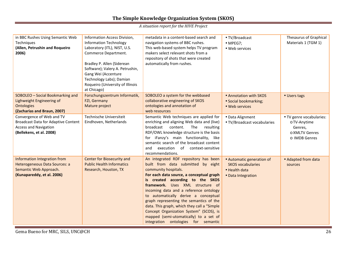| in BBC Rushes Using Semantic Web<br>Techniques<br>(Allen, Petrushin and Roqueiro<br>2006)                                           | Information Access Division,<br><b>Information Technology</b><br>Laboratory (ITL), NIST, U.S.<br>Commerce Department.<br>Bradley P. Allen (Siderean<br>Software); Valery A. Petrushin,<br>Gang Wei (Accenture<br>Technology Labs); Damian<br>Roqueiro (University of Illinois<br>at Chicago) | metadata in a content-based search and<br>navigation systems of BBC rushes.<br>This web-based system helps TV program<br>makers select relevant shots from a<br>repository of shots that were created<br>automatically from rushes.                                                                                                                                                                                                                                                                                             | • TV/Broadcast<br>$\bullet$ MPEG7;<br>• Web services                                         | Thesaurus of Graphical<br>Materials 1 (TGM 1)                                          |
|-------------------------------------------------------------------------------------------------------------------------------------|----------------------------------------------------------------------------------------------------------------------------------------------------------------------------------------------------------------------------------------------------------------------------------------------|---------------------------------------------------------------------------------------------------------------------------------------------------------------------------------------------------------------------------------------------------------------------------------------------------------------------------------------------------------------------------------------------------------------------------------------------------------------------------------------------------------------------------------|----------------------------------------------------------------------------------------------|----------------------------------------------------------------------------------------|
| SOBOLEO - Social Bookmarking and<br>Lighweight Engineering of<br><b>Ontologies</b><br>(Zacharias and Braun, 2007)                   | Forschungszentrum Informatik,<br>FZI, Germany<br>Mature project                                                                                                                                                                                                                              | SOBOLEO a system for the webbased<br>collaborative engineering of SKOS<br>ontologies and annotation of<br>web resources                                                                                                                                                                                                                                                                                                                                                                                                         | • Annotation with SKOS<br>• Social bookmarking;<br>• Web services                            | • Users tags                                                                           |
| Convergence of Web and TV<br><b>Broadcast Data for Adaptive Content</b><br><b>Access and Navigation</b><br>(Bellekens, et al. 2008) | Technische Universiteit<br>Eindhoven, Netherlands                                                                                                                                                                                                                                            | Semantic Web techniques are applied for<br>enriching and aligning Web data and (live)<br>broadcast<br>content.<br>The<br>resulting<br>RDF/OWL knowledge structure is the basis<br>for iFanzy's main functionality, like<br>semantic search of the broadcast content<br>execution of context-sensitive<br>and<br>recommendations.                                                                                                                                                                                                | · Data Alignment<br>• TV/Broadcast vocabularies                                              | • TV genre vocabularies:<br>o TV-Anytime<br>Genres,<br>o XMLTV Genres<br>o IMDB Genres |
| Information Integration from<br>Heterogeneous Data Sources: a<br>Semantic Web Approach.<br>(Kunapareddy, et al. 2006)               | Center for Biosecurity and<br><b>Public Health Informatics</b><br>Research, Houston, TX                                                                                                                                                                                                      | An integrated RDF repository has been<br>built from data submitted by eight<br>community hospitals.<br>For each data source, a conceptual graph<br>is created according to the SKOS<br>framework. Uses XML structure of<br>incoming data and a reference ontology<br>to automatically derive a conceptual<br>graph representing the semantics of the<br>data. This graph, which they call a "Simple<br>Concept Organization System" (SCOS), is<br>mapped (semi-utomatically) to a set of<br>integration ontologies for semantic | • Automatic generation of<br><b>SKOS vocabularies</b><br>· Health data<br>· Data Integration | • Adapted from data<br>sources                                                         |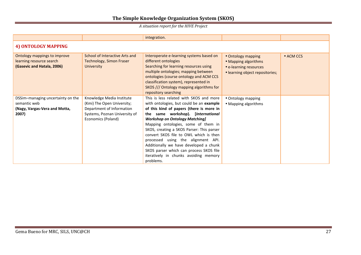|                                                                                             |                                                                                                                                             | integration.                                                                                                                                                                                                                                                                                                                                                                                                                                                                                                                  |                                                                                                         |           |  |  |  |
|---------------------------------------------------------------------------------------------|---------------------------------------------------------------------------------------------------------------------------------------------|-------------------------------------------------------------------------------------------------------------------------------------------------------------------------------------------------------------------------------------------------------------------------------------------------------------------------------------------------------------------------------------------------------------------------------------------------------------------------------------------------------------------------------|---------------------------------------------------------------------------------------------------------|-----------|--|--|--|
| 4) ONTOLOGY MAPPING                                                                         |                                                                                                                                             |                                                                                                                                                                                                                                                                                                                                                                                                                                                                                                                               |                                                                                                         |           |  |  |  |
| Ontology mappings to improve<br>learning resource search<br>(Gasevic and Hatala, 2006)      | School of Interactive Arts and<br><b>Technology, Simon Fraser</b><br><b>University</b>                                                      | Interoperate e-learning systems based on<br>different ontologies<br>Searching for learning resources using<br>multiple ontologies; mapping between<br>ontologies (course ontology and ACM CCS<br>classification system), represented in<br>SKOS /// Ontology mapping algorithms for<br>repository searching                                                                                                                                                                                                                   | • Ontology mapping<br>• Mapping algorithms<br>• e-learning resources<br>· learning object repositories; | • ACM CCS |  |  |  |
| DSSim-managing uncertainty on the<br>semantic web<br>(Nagy, Vargas-Vera and Motta,<br>2007) | Knowledge Media Institute<br>(Kmi) The Open University;<br>Department of Information<br>Systems, Poznan University of<br>Economics (Poland) | This is less related with SKOS and more<br>with ontologies, but could be an example<br>of this kind of papers (there is more in<br>the same workshop). [International<br><b>Workshop on Ontology Matching]</b><br>Mapping ontologies, some of them in<br>SKOS, creating a SKOS Parser: This parser<br>convert SKOS file to OWL which is then<br>processed using the alignment API.<br>Additionally we have developed a chunk<br>SKOS parser which can process SKOS file<br>iteratively in chunks avoiding memory<br>problems. | • Ontology mapping<br>• Mapping algorithms                                                              |           |  |  |  |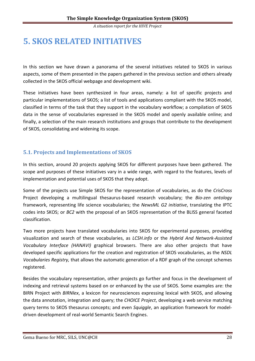## **5. SKOS RELATED INITIATIVES**

In this section we have drawn a panorama of the several initiatives related to SKOS in various aspects, some of them presented in the papers gathered in the previous section and others already collected in the SKOS official webpage and development wiki.

These initiatives have been synthesized in four areas, namely: a list of specific projects and particular implementations of SKOS; a list of tools and applications compliant with the SKOS model, classified in terms of the task that they support in the vocabulary workflow; a compilation of SKOS data in the sense of vocabularies expressed in the SKOS model and openly available online; and finally, a selection of the main research institutions and groups that contribute to the development of SKOS, consolidating and widening its scope.

## **5.1. Projects and Implementations of SKOS**

In this section, around 20 projects applying SKOS for different purposes have been gathered. The scope and purposes of these initiatives vary in a wide range, with regard to the features, levels of implementation and potential uses of SKOS that they adopt.

Some of the projects use Simple SKOS for the representation of vocabularies, as do the *CrisCross* Project developing a multilingual thesaurus-based research vocabulary; the *Bio-zen ontology* framework, representing life science vocabularies; the *NewsML G2 initiative*, translating the IPTC codes into SKOS; or *BC2* with the proposal of an SKOS representation of the BLISS general faceted classification.

Two more projects have translated vocabularies into SKOS for experimental purposes, providing visualization and search of these vocabularies, as *LCSH.info* or the *Hybrid And Network-Assisted Vocabulary Interface (HANAVI)* graphical browsers. There are also other projects that have developed specific applications for the creation and registration of SKOS vocabularies, as the *NSDL Vocabularies Registry,* that allows the automatic generation of a RDF graph of the concept schemes registered.

Besides the vocabulary representation, other projects go further and focus in the development of indexing and retrieval systems based on or enhanced by the use of SKOS. Some examples are: the BIRN Project with *BIRNlex*, a lexicon for neurosciences expressing lexical with SKOS, and allowing the data annotation, integration and query; the *CHOICE Project*, developing a web service matching query terms to SKOS thesaurus concepts; and even *Squiggle*, an application framework for modeldriven development of real-world Semantic Search Engines.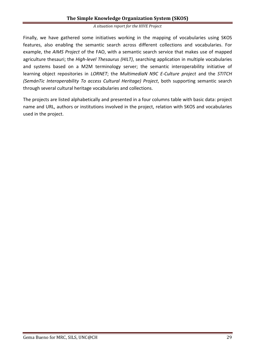Finally, we have gathered some initiatives working in the mapping of vocabularies using SKOS features, also enabling the semantic search across different collections and vocabularies. For example, the *AIMS Project* of the FAO, with a semantic search service that makes use of mapped agriculture thesauri; the *High-level Thesaurus (HILT)*, searching application in multiple vocabularies and systems based on a M2M terminology server; the semantic interoperability initiative of learning object repositories in *LORNET*; the *MultimediaN N9C E-Culture project* and the *STITCH (SemánTic Interoperability To access Cultural Heritage) Project*, both supporting semantic search through several cultural heritage vocabularies and collections.

The projects are listed alphabetically and presented in a four columns table with basic data: project name and URL, authors or institutions involved in the project, relation with SKOS and vocabularies used in the project.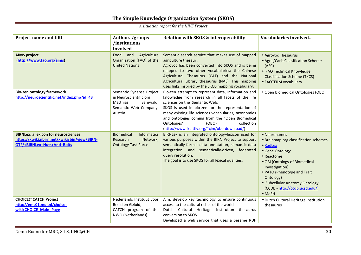| <b>Project name and URL</b>                                                                                                | <b>Authors /groups</b><br>/institutions<br>involved                                                            | Relation with SKOS & interoperability                                                                                                                                                                                                                                                                                                                                                          | Vocabularies involved                                                                                                                                                                                                                                                           |
|----------------------------------------------------------------------------------------------------------------------------|----------------------------------------------------------------------------------------------------------------|------------------------------------------------------------------------------------------------------------------------------------------------------------------------------------------------------------------------------------------------------------------------------------------------------------------------------------------------------------------------------------------------|---------------------------------------------------------------------------------------------------------------------------------------------------------------------------------------------------------------------------------------------------------------------------------|
| <b>AIMS project</b><br>(http://www.fao.org/aims)                                                                           | Food<br>and<br>Agriculture<br>Organization (FAO) of the<br><b>United Nations</b>                               | Semantic search service that makes use of mapped<br>agriculture thesauri.<br>Agrovoc has been converted into SKOS and is being<br>mapped to two other vocabularies: the Chinese<br>Agricultural Thesaurus (CAT) and the National<br>Agricultural Library thesaurus (NAL). This mapping<br>uses links inspired by the SKOS mapping vocabulary.                                                  | • Agrovoc Thesaurus<br>• Agris/Caris Classification Scheme<br>(ASC)<br>• FAO Technical Knowledge<br><b>Classification Scheme (TKCS)</b><br>• FAOTERM vocabulary                                                                                                                 |
| <b>Bio-zen ontology framework</b><br>http://neuroscientific.net/index.php?id=43                                            | Semantic Synapse Project<br>in Neuroscientific.org<br>Matthias<br>Samwald,<br>Semantic Web Company,<br>Austria | Bio-zen attempt to represent data, information and<br>knowledge from research in all facets of the life<br>sciences on the Semantic Web.<br>SKOS is used in bio-zen for the representation of<br>many existing life sciences vocabularies, taxonomies<br>and ontologies coming from the "Open Biomedical<br>Ontologies"<br>collection<br>(OBO)<br>(http://www.fruitfly.org/~cjm/obo-download/) | • Open Biomedical Ontologies (OBO)                                                                                                                                                                                                                                              |
| <b>BIRNLex: a lexicon for neurosciences</b><br>https://xwiki.nbirn.net/xwiki/bin/view/BIRN-<br>OTF/+BIRNLex+Nuts+And+Bolts | <b>Biomedical</b><br><b>Informatics</b><br>Research<br>Network,<br><b>Ontology Task Force</b>                  | BIRNLex is an integrated ontology+lexicon used for<br>various purposes within the BIRN Project to support<br>semantically-formal data annotation, semantic data<br>integration, and semantically-driven, federated<br>query resolution.<br>The goal is to use SKOS for all lexical qualities.                                                                                                  | • Neuronames<br>• Brainmap.org classification schemes<br>• RadLex<br>• Gene Ontology<br>• Reactome<br>• OBI (Ontology of Biomedical<br>Investigation)<br>• PATO (Phenotype and Trait<br>Ontology)<br>• Subcellular Anatomy Ontology<br>(CCDB - http://ccdb.ucsd.edu/)<br>• MeSH |
| <b>CHOICE@CATCH Project</b><br>http://ems01.mpi.nl/choice-<br>wiki/CHOICE Main Page                                        | Nederlands Instituut voor<br>Beeld en Geluid,<br>CATCH program of the<br>NWO (Netherlands)                     | Aim: develop key technology to ensure continuous<br>access to the cultural riches of the world<br>Dutch Cultural Heritage Institution thesaurus<br>conversion to SKOS.<br>Developed a web service that uses a Sesame RDF                                                                                                                                                                       | · Dutch Cultural Heritage Institution<br>thesaurus                                                                                                                                                                                                                              |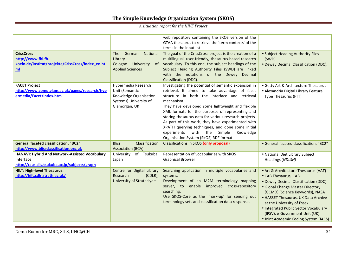| <b>CrissCross</b>                                                                                                   | German<br><b>National</b><br>The                                                                           | web repository containing the SKOS version of the<br>GTAA thesaurus to retrieve the 'term contexts' of the<br>terms in the input list.<br>The goal of the CrissCross project is the creation of a                                                                                                                                                                                                                                                                                                                                               | • Subject Heading Authority Files                                                                                                                                                                                                                                                                                                                                     |
|---------------------------------------------------------------------------------------------------------------------|------------------------------------------------------------------------------------------------------------|-------------------------------------------------------------------------------------------------------------------------------------------------------------------------------------------------------------------------------------------------------------------------------------------------------------------------------------------------------------------------------------------------------------------------------------------------------------------------------------------------------------------------------------------------|-----------------------------------------------------------------------------------------------------------------------------------------------------------------------------------------------------------------------------------------------------------------------------------------------------------------------------------------------------------------------|
| http://www.fbi.fh-<br>koeln.de/institut/projekte/CrissCross/index_en.ht<br>m <sub>l</sub>                           | Library<br>Cologne<br>University<br>-of<br><b>Applied Sciences</b>                                         | multilingual, user-friendly, thesaurus-based research<br>vocabulary. To this end, the subject headings of the<br>Subject Heading Authority Files (SWD) are linked<br>with the notations of the Dewey Decimal<br>Classification (DDC).                                                                                                                                                                                                                                                                                                           | (SWD)<br>• Dewey Decimal Classification (DDC).                                                                                                                                                                                                                                                                                                                        |
| <b>FACET Project</b><br>http://www.comp.glam.ac.uk/pages/research/hyp<br>ermedia/Facet/index.htm                    | Hypermedia Research<br>Unit (Semantic<br>Knowledge Organisation<br>Systems) University of<br>Glamorgan, UK | Investigating the potential of semantic expansion in<br>retrieval. It aimed to take advantage of facet<br>structure in both the interface and retrieval<br>mechanism.<br>They have developed some lightweight and flexible<br>XML formats for the purposes of representing and<br>storing thesaurus data for various research projects.<br>As part of this work, they have experimented with<br>XPATH querying techniques, and done some initial<br>experiments<br>with<br>the<br>Simple<br>Knowledge<br>Organisation System (SKOS) RDF format. | • Getty Art & Architecture Thesaurus<br>· Alexandria Digital Library Feature<br>Type Thesaurus (FTT)                                                                                                                                                                                                                                                                  |
| <b>General faceted classification, "BC2"</b><br>http://www.blissclassification.org.uk                               | Classification<br><b>Bliss</b><br><b>Association (BCA)</b>                                                 | <b>Classifications in SKOS (only proposal)</b>                                                                                                                                                                                                                                                                                                                                                                                                                                                                                                  | • General faceted classification, "BC2"                                                                                                                                                                                                                                                                                                                               |
| HANAVI: Hybrid And Network-Assisted Vocabulary<br><b>Interface</b><br>http://raus.slis.tsukuba.ac.jp/subjects/graph | University<br>of Tsukuba,<br>Japan                                                                         | Representation of vocabularies with SKOS<br><b>Graphical Browser</b>                                                                                                                                                                                                                                                                                                                                                                                                                                                                            | • National Diet Library Subject<br>Headings (NDLSH)                                                                                                                                                                                                                                                                                                                   |
| <b>HILT: High-level Thesaurus:</b><br>http://hilt.cdlr.strath.ac.uk/                                                | Centre for Digital Library<br>Research<br>$(CDLR)$ ,<br>University of Strathclyde                          | Searching application in multiple vocabularies and<br>systems.<br>Development of an M2M terminology mapping<br>server, to enable improved cross-repository<br>searching.<br>Use SKOS-Core as the 'mark-up' for sending out<br>terminology sets and classification data responses                                                                                                                                                                                                                                                                | • Art & Architecture Thesaurus (AAT)<br>• CAB Thesaurus, CABI<br>• Dewey Decimal Classification (DDC)<br>• Global Change Master Directory<br>(GCMD) (Science Keywords), NASA<br>• HASSET Thesaurus, UK Data Archive<br>at the University of Essex<br>• Integrated Public Sector Vocabulary<br>(IPSV), e-Government Unit (UK)<br>• Joint Academic Coding System (JACS) |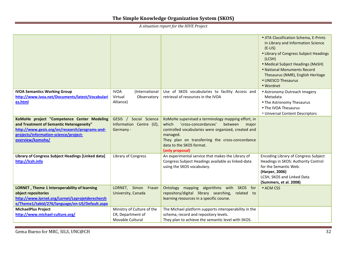|                                                    |                               |                                                                             | • JITA Classification Schema, E-Prints<br>in Library and Information Science<br>$(E-LIS)$<br>• Library of Congress Subject Headings<br>(LCSH)<br>• Medical Subject Headings (MeSH)<br>• National Monuments Record<br>Thesaurus (NMR), English Heritage<br>• UNESCO Thesaurus<br>• Wordnet |
|----------------------------------------------------|-------------------------------|-----------------------------------------------------------------------------|-------------------------------------------------------------------------------------------------------------------------------------------------------------------------------------------------------------------------------------------------------------------------------------------|
| <b>IVOA Semantics Working Group</b>                | <b>IVOA</b><br>(International | Use of SKOS vocabularies to facility Access and                             | • Astronomy Outreach Imagery                                                                                                                                                                                                                                                              |
| http://www.ivoa.net/Documents/latest/Vocabulari    | Virtual<br>Observatory        | retrieval of resources in the IVOA                                          | Metadata                                                                                                                                                                                                                                                                                  |
| es.html                                            | Alliance)                     |                                                                             | • The Astronomy Thesaurus<br>• The IVOA Thesaurus                                                                                                                                                                                                                                         |
|                                                    |                               |                                                                             | • Universal Content Descriptors                                                                                                                                                                                                                                                           |
| KoMoHe project "Competence Center Modeling         | GESIS / Social Science        | KoMoHe supervised a terminology mapping effort, in                          |                                                                                                                                                                                                                                                                                           |
| and Treatment of Semantic Heterogeneity"           | Information Centre (IZ),      | 'cross-concordances'<br>which<br>between<br>major                           |                                                                                                                                                                                                                                                                                           |
| http://www.gesis.org/en/research/programs-and-     | Germany -                     | controlled vocabularies were organized, created and                         |                                                                                                                                                                                                                                                                                           |
| projects/information-science/project-              |                               | managed.                                                                    |                                                                                                                                                                                                                                                                                           |
| overview/komohe/                                   |                               | They plan on transferring the cross-concordance<br>data to the SKOS format. |                                                                                                                                                                                                                                                                                           |
|                                                    |                               | (only proposal)                                                             |                                                                                                                                                                                                                                                                                           |
| Library of Congress Subject Headings [Linked data] | Library of Congress           | An experimental service that makes the Library of                           | <b>Encoding Library of Congress Subject</b>                                                                                                                                                                                                                                               |
| http://lcsh.info                                   |                               | Congress Subject Headings available as linked-data                          | Headings in SKOS: Authority Control                                                                                                                                                                                                                                                       |
|                                                    |                               | using the SKOS vocabulary.                                                  | for the Semantic Web.                                                                                                                                                                                                                                                                     |
|                                                    |                               |                                                                             | (Harper, 2006)                                                                                                                                                                                                                                                                            |
|                                                    |                               |                                                                             | LCSH, SKOS and Linked Data<br>(Summers, et al. 2008)                                                                                                                                                                                                                                      |
| LORNET, Theme 1 Interoperability of learning       | LORNET, Simon Fraser          | Ontology mapping algorithms with SKOS for                                   | • ACM CSS                                                                                                                                                                                                                                                                                 |
| object repositories                                | University, Canada            | repository/digital library searching,<br>related to                         |                                                                                                                                                                                                                                                                                           |
| http://www.lornet.org/Lornet/Leprojetderecherch    |                               | learning resources in a specific course.                                    |                                                                                                                                                                                                                                                                                           |
| e/Theme1/tabid/276/language/en-US/Default.aspx     |                               |                                                                             |                                                                                                                                                                                                                                                                                           |
| <b>MichaelPlus Project</b>                         | Ministry of Culture of the    | The Michael platform supports interoperability in the                       |                                                                                                                                                                                                                                                                                           |
| http://www.michael-culture.org/                    | CR, Department of             | schema, record and repository levels.                                       |                                                                                                                                                                                                                                                                                           |
|                                                    | Movable Cultural              | They plan to achieve the semantic level with SKOS.                          |                                                                                                                                                                                                                                                                                           |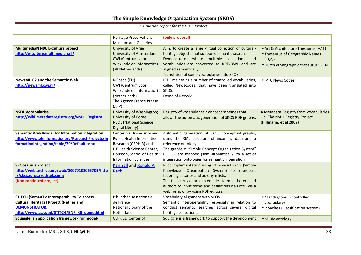|                                                                                                                                                                                                                       | Heritage Preservation,<br><b>Museum and Galleries</b>                                                                                                                               | (only proposal)                                                                                                                                                                                                                                                                                 |                                                                                                                         |
|-----------------------------------------------------------------------------------------------------------------------------------------------------------------------------------------------------------------------|-------------------------------------------------------------------------------------------------------------------------------------------------------------------------------------|-------------------------------------------------------------------------------------------------------------------------------------------------------------------------------------------------------------------------------------------------------------------------------------------------|-------------------------------------------------------------------------------------------------------------------------|
| <b>MultimediaN N9C E-Culture project</b><br>http://e-culture.multimedian.nl/                                                                                                                                          | University of Vrije<br><b>University of Amsterdam</b><br>CWI (Centrum voor<br>Wiskunde en Informatica)<br>(all Netherlands)                                                         | Aim: to create a large virtual collection of cultural-<br>heritage objects that supports semantic search.<br>Demonstrator where multiple collections and<br>vocabularies are converted to RDF/OWL and are<br>aligned semantically.<br>Translation of some vocabularies into SKOS.               | • Art & Architecture Thesaurus (AAT)<br>• Thesaurus of Geographic Names<br>(TGN)<br>· Dutch ethnographic thesaurus SVCN |
| <b>NewsML G2 and the Semantic Web</b><br>http://newsml.cwi.nl/                                                                                                                                                        | K-Space (EU)<br>CWI (Centrum voor<br>Wiskunde en Informatica)<br>(Netherlands)<br>The Agence France Presse<br>(AFP)                                                                 | IPTC maintains a number of controlled vocabularies,<br>called Newscodes, that have been translated into<br>SKOS.<br>Demo of NewsML                                                                                                                                                              | • IPTC News Codes                                                                                                       |
| <b>NSDL Vocabularies</b><br>http://wiki.metadataregistry.org/NSDL Registry                                                                                                                                            | University of Washington;<br><b>University of Cornell</b><br><b>NSDL (National Science</b><br>Digital Library)                                                                      | Registry of vocabularies / concept schemes that<br>allows the automatic generation of SKOS RDF graphs.                                                                                                                                                                                          | A Metadata Registry from Vocabularies<br>Up: The NSDL Registry Project<br>(Hillmann, et al 2007)                        |
| Semantic Web Model for Information Integration<br>http://www.phinformatics.org/ResearchProjects/In<br>formationIntegration/tabid/79/Default.aspx                                                                      | Center for Biosecurity and<br><b>Public Health Informatics</b><br>Research (CBPHIR) at the<br>UT Health Science Center.<br>Houston, School of Health<br><b>Information Sciences</b> | Automatic generation of SKOS conceptual graphs,<br>using the XML structure of incoming data and a<br>reference ontology.<br>The graphs o "Simple Concept Organization System"<br>(SCOS), are mapped (semi-utomatically) to a set of<br>integration ontologies for semantic integration          |                                                                                                                         |
| <b>SKOSsaurus Project</b><br>http://web.archive.org/web/20070102065709/http<br>://skosaurus.rrecktek.com/<br>[Non continued project]                                                                                  | Ken Sall and Ronald P.<br>Reck.                                                                                                                                                     | Pilot implementation using RDF-based SKOS (Simple<br>Knowledge Organization System) to represent<br>federal glossaries and acronym lists.<br>The thesaurus approach enables term gatherers and<br>authors to input terms and definitions via Excel, via a<br>web form, or by using RDF editors. |                                                                                                                         |
| STITCH (SemánTic Interoperability To access<br><b>Cultural Heritage) Project (Netherland)</b><br><b>DEMONSTRATOR:</b><br>http://www.cs.vu.nl/STITCH/BNF KB demo.html<br>Squiggle: an application framework for model- | Bibliothèque nationale<br>de France<br>National Library of the<br><b>Netherlands</b><br><b>CEFRIEL</b> (Center of                                                                   | Vocabulary alignment with SKOS<br>Semantic interoperability, especially in relation to<br>conduct semantic searches across several digital<br>heritage collections.<br>Squiggle is a framework to support the development                                                                       | • Mandragore ; (controlled<br>vocabulary)<br>• Iconclass (Classification system)<br>· Music ontology                    |
|                                                                                                                                                                                                                       |                                                                                                                                                                                     |                                                                                                                                                                                                                                                                                                 |                                                                                                                         |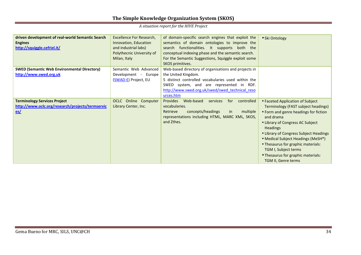| driven development of real-world Semantic Search<br><b>Engines</b><br>http://squiggle.cefriel.it/ | Excellence For Research,<br>Innovation, Education<br>and industrial labs)<br>Polythecnic University of<br>Milan, Italy | of domain-specific search engines that exploit the<br>semantics of domain ontologies to improve the<br>search functionalities. It supports both the<br>conceptual indexing phase and the semantic search.<br>For the Semantic Suggestions, Squiggle exploit some<br>SKOS primitives. | • Ski Ontology                                                                                                                                                                                                                                                                                                                                                                                  |
|---------------------------------------------------------------------------------------------------|------------------------------------------------------------------------------------------------------------------------|--------------------------------------------------------------------------------------------------------------------------------------------------------------------------------------------------------------------------------------------------------------------------------------|-------------------------------------------------------------------------------------------------------------------------------------------------------------------------------------------------------------------------------------------------------------------------------------------------------------------------------------------------------------------------------------------------|
| <b>SWED (Semantic Web Environmental Directory)</b><br>http://www.swed.org.uk                      | Semantic Web Advanced<br>Development - Europe<br>(SWAD-E) Project, EU                                                  | Web-based directory of organisations and projects in<br>the United Kingdom.<br>5 distinct controlled vocabularies used within the<br>SWED system, and are represented in RDF.<br>http://www.swed.org.uk/swed/swed technical reso<br>urces.htm                                        |                                                                                                                                                                                                                                                                                                                                                                                                 |
| <b>Terminology Services Project</b><br>http://www.oclc.org/research/projects/termservic<br>es/    | OCLC Online Computer<br>Library Center, Inc.                                                                           | <b>Provides</b><br>Web-based<br>controlled<br>services<br>for<br>vocabularies.<br>multiple<br>Retrieve<br>concepts/headings<br>in.<br>representations including HTML, MARC XML, SKOS,<br>and Zthes.                                                                                  | • Faceted Application of Subject<br>Terminology (FAST subject headings)<br>• Form and genre headings for fiction<br>and drama<br>• Library of Congress AC Subject<br><b>Headings</b><br>• Library of Congress Subject Headings<br>• Medical Subject Headings (MeSH®)<br>• Thesaurus for graphic materials:<br>TGM I, Subject terms<br>• Thesaurus for graphic materials:<br>TGM II, Genre terms |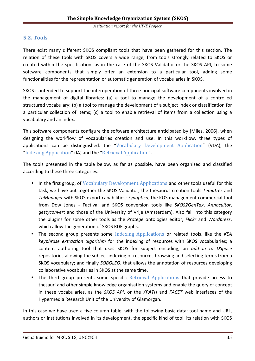## **5.2. Tools**

There exist many different SKOS compliant tools that have been gathered for this section. The relation of these tools with SKOS covers a wide range, from tools strongly related to SKOS or created within the specification, as in the case of the SKOS Validator or the SKOS API, to some software components that simply offer an extension to a particular tool, adding some functionalities for the representation or automatic generation of vocabularies in SKOS.

SKOS is intended to support the interoperation of three principal software components involved in the management of digital libraries: (a) a tool to manage the development of a controlled structured vocabulary; (b) a tool to manage the development of a subject index or classification for a particular collection of items; (c) a tool to enable retrieval of items from a collection using a vocabulary and an index.

This software components configure the software architecture anticipated by [Miles, 2006], when designing the workflow of vocabularies creation and use. In this workflow, three types of applications can be distinguished: the "Vocabulary Development Application" (VDA), the "Indexing Application" (IA) and the "Retrieval Application".

The tools presented in the table below, as far as possible, have been organized and classified according to these three categories:

- In the first group, of Vocabulary Development Applications and other tools useful for this task, we have put together the SKOS Validator; the thesaurus creation tools *Tematres* and *ThManager* with SKOS export capabilities; *Synaptica*, the KOS management commercial tool from Dow Jones - Factiva; and SKOS conversion tools like *SKOS2GenTax*, *Annocultor*, *gettyconvert* and those of the University of Vrije (Amsterdam). Also fall into this category the plugins for some other tools as the *Protégé* ontologies editor, *Flickr* and *Wordpress*, which allow the generation of SKOS RDF graphs.
- The second group presents some Indexing Applications or related tools, like the *KEA keyphrase extraction algorithm* for the indexing of resources with SKOS vocabularies; a content authoring tool that uses SKOS for subject encoding; an *add-on to DSpace*  repositories allowing the subject indexing of resources browsing and selecting terms from a SKOS vocabulary; and finally *SOBOLEO*, that allows the annotation of resources developing collaborative vocabularies in SKOS at the same time.
- The third group presents some specific Retrieval Applications that provide access to thesauri and other simple knowledge organisation systems and enable the query of concept in these vocabularies, as the *SKOS API*, or the *XPATH* and *FACET* web interfaces of the Hypermedia Research Unit of the University of Glamorgan.

In this case we have used a five column table, with the following basic data: tool name and URL, authors or institutions involved in its development, the specific kind of tool, its relation with SKOS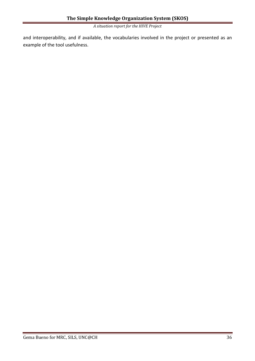and interoperability, and if available, the vocabularies involved in the project or presented as an example of the tool usefulness.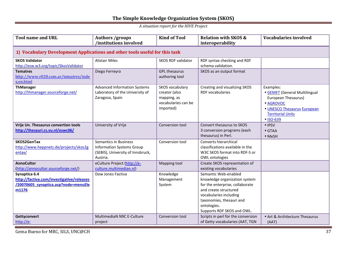| <b>Tool name and URL</b>                                                                                    | <b>Authors /groups</b><br>/institutions involved                                                                  | <b>Kind of Tool</b>                                                                 | <b>Relation with SKOS &amp;</b><br>interoperability                                                                                                                                                                  | <b>Vocabularies involved</b>                                                                                                                           |  |  |
|-------------------------------------------------------------------------------------------------------------|-------------------------------------------------------------------------------------------------------------------|-------------------------------------------------------------------------------------|----------------------------------------------------------------------------------------------------------------------------------------------------------------------------------------------------------------------|--------------------------------------------------------------------------------------------------------------------------------------------------------|--|--|
| 1) Vocabulary Development Applications and other tools useful for this task                                 |                                                                                                                   |                                                                                     |                                                                                                                                                                                                                      |                                                                                                                                                        |  |  |
| <b>SKOS Validator</b><br>http://esw.w3.org/topic/SkosValidator                                              | <b>Alistair Miles</b>                                                                                             | <b>SKOS RDF validator</b>                                                           | RDF syntax checking and RDf<br>schema validation.                                                                                                                                                                    |                                                                                                                                                        |  |  |
| <b>Tematres</b><br>http://www.r020.com.ar/tematres/inde<br>x.en.html                                        | Diego Ferreyra                                                                                                    | <b>GPL thesaurus</b><br>authoring tool                                              | SKOS as an output format                                                                                                                                                                                             |                                                                                                                                                        |  |  |
| <b>ThManager</b><br>http://thmanager.sourceforge.net/                                                       | <b>Advanced Information Systems</b><br>Laboratory of the University of<br>Zaragoza, Spain                         | SKOS vocabulary<br>creator (also<br>mapping, as<br>vocabularies can be<br>imported) | Creating and visualizing SKOS<br><b>RDF</b> vocabularies                                                                                                                                                             | Examples:<br>• GEMET (General Multilingual<br>European Thesaurus)<br>· AGROVOC<br>• UNESCO Thesaurus European<br><b>Territorial Units</b><br>• ISO-639 |  |  |
| Vrije Un. Thesaurus convertion tools<br>http://thesauri.cs.vu.nl/eswc06/                                    | University of Vrije                                                                                               | Conversion tool                                                                     | Convert thesaurus to SKOS<br>3 conversion programs (each<br>thesaurus) in Perl.                                                                                                                                      | • IPSV<br>$\bullet$ GTAA<br>• MeSH                                                                                                                     |  |  |
| SKOS2GenTax<br>http://www.heppnetz.de/projects/skos2g<br>entax/                                             | <b>Semantics in Business</b><br><b>Information Systems Group</b><br>(SEBIS), University of Innsbruck,<br>Austria. | Conversion tool                                                                     | Converts hierarchical<br>classifications available in the<br>W3C SKOS format into RDF-S or<br>OWL ontologies                                                                                                         |                                                                                                                                                        |  |  |
| <b>AnnoCultor</b><br>(http://annocultor.sourceforge.net/)                                                   | eCulture Project (http://e-<br>culture.multimedian.nl)                                                            | Mapping tool                                                                        | Create SKOS representation of<br>existing vocabularies                                                                                                                                                               |                                                                                                                                                        |  |  |
| Synaptica 6.4<br>http://factiva.com/investigative/releases<br>/20070605 synaptica.asp?node=menuEle<br>m1176 | Dow Jones Factiva                                                                                                 | Knowledge<br>Management<br>System                                                   | Semantic Web-enabled<br>knowledge organization system<br>for the enterprise, collaborate<br>and create structured<br>vocabularies including<br>taxonomies, thesauri and<br>ontologies.<br>Supports RDF SKOS and OWL. |                                                                                                                                                        |  |  |
| Gettyconvert<br>http://e-                                                                                   | MultimediaN N9C E-Culture<br>project                                                                              | Conversion tool                                                                     | Scripts in perl for the conversion<br>of Getty vocabularies (AAT, TGN                                                                                                                                                | • Art & Architecture Thesaurus<br>(AAT)                                                                                                                |  |  |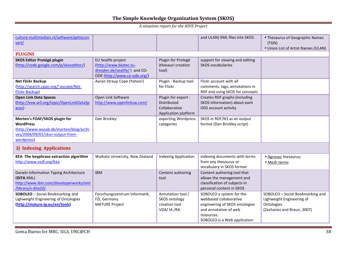| culture.multimedian.nl/software/gettycon<br>vert/                                                                                             |                                                                                                               |                                                                                    | and ULAN) XML files into SKOS.                                                                                                                              | • Thesaurus of Geographic Names<br>(TGN)<br>• Union List of Artist Names (ULAN)                            |
|-----------------------------------------------------------------------------------------------------------------------------------------------|---------------------------------------------------------------------------------------------------------------|------------------------------------------------------------------------------------|-------------------------------------------------------------------------------------------------------------------------------------------------------------|------------------------------------------------------------------------------------------------------------|
| <b>PLUGINS</b>                                                                                                                                |                                                                                                               |                                                                                    |                                                                                                                                                             |                                                                                                            |
| <b>SKOS Editor Protégé plugin</b><br>(http://code.google.com/p/skoseditor/)                                                                   | EU Sealife project<br>(http://www.biotec.tu-<br>dresden.de/sealife/ ) and CO-<br>ODE (http://www.co-ode.org/) | Plugin for Protegé<br>(thesauri creation<br>tool)                                  | support for viewing and editing<br><b>SKOS</b> vocabularies                                                                                                 |                                                                                                            |
| <b>Net Flickr Backup</b><br>(http://search.cpan.org/~ascope/Net-<br>Flickr-Backup)                                                            | Aaron Straup Cope (Yahoo!)                                                                                    | Plugin - Backup tool<br>for Flickr                                                 | Flickr account with all<br>comments, tags, annotations in<br>RDF and using SKOS for concepts                                                                |                                                                                                            |
| <b>Open Link Data Spaces</b><br>http://esw.w3.org/topic/OpenLinkDataSp<br>aces)                                                               | Open Link Software<br>http://www.openlinksw.com/                                                              | Plugin for export -<br><b>Distributed</b><br>Collaborative<br>Application platform | Creates RDF graphs (including<br>SKOS information) about each<br>ODS account activity                                                                       |                                                                                                            |
| Morten's FOAF/SKOS plugin for<br><b>WordPress</b><br>(http://www.wasab.dk/morten/blog/archi<br>ves/2004/09/01/skos-output-from-<br>wordpress) | Dan Brickley                                                                                                  | exporting Wordpress<br>categories                                                  | SKOS in RDF/N3 as an output<br>format (Dan Brickley script)                                                                                                 |                                                                                                            |
| 2) Indexing Applications                                                                                                                      |                                                                                                               |                                                                                    |                                                                                                                                                             |                                                                                                            |
| KEA-The keyphrase extraction algorithm<br>http://www.nzdl.org/Kea                                                                             | Waikato University, New Zealand                                                                               | <b>Indexing Application</b>                                                        | indexing documents with terms<br>from any thesaurus or<br>vocabulary in SKOS format                                                                         | · Agrovoc thesaurus;<br>• Mesh terms                                                                       |
| Darwin Information Typing Architecture<br>(DITA XML)<br>http://www.ibm.com/developerworks/xml<br>/library/x-dita10/                           | <b>IBM</b>                                                                                                    | Content authoring<br>tool                                                          | Content authoring tool that<br>allows the management and<br>classification of subjects in<br>personal content in SKOS                                       |                                                                                                            |
| SOBOLEO - Social Bookmarking and<br>Lighweight Engineering of Ontologies<br>(http://mature-ip.eu/en/tools)                                    | Forschungszentrum Informatik,<br>FZI, Germany<br><b>MATURE Project</b>                                        | Annotation tool /<br>SKOS ontology<br>creation tool<br>VDA/ IA / RA                | SOBOLEO a system for the<br>webbased collaborative<br>engineering of SKOS ontologies<br>and annotation of web<br>resources.<br>SOBOLEO is a Web application | SOBOLEO - Social Bookmarking and<br>Lighweight Engineering of<br>Ontologies<br>(Zacharias and Braun, 2007) |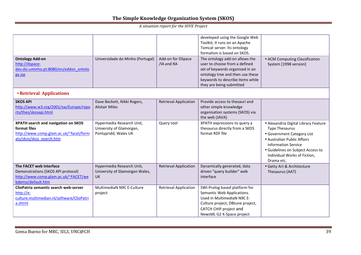| <b>Ontology Add-on</b><br>http://dspace-<br>dev.dsi.uminho.pt:8080/en/addon ontolo<br>gy.jsp                               | Universidade do Minho (Portugal)                                              | Add-on for DSpace<br>/IA and RA | developed using the Google Web<br>Toolkit; it runs on an Apache<br>Tomcat server. Its ontology<br>formalism is based on SKOS.<br>The ontology add-on allows the<br>user to choose from a defined<br>set of keywords organised in an<br>ontology tree and then use these<br>keywords to describe items while<br>they are being submitted | • ACM Computing Classification<br>System [1998 version]                                                                                                                                                                                     |
|----------------------------------------------------------------------------------------------------------------------------|-------------------------------------------------------------------------------|---------------------------------|-----------------------------------------------------------------------------------------------------------------------------------------------------------------------------------------------------------------------------------------------------------------------------------------------------------------------------------------|---------------------------------------------------------------------------------------------------------------------------------------------------------------------------------------------------------------------------------------------|
| • Retrieval Applications                                                                                                   |                                                                               |                                 |                                                                                                                                                                                                                                                                                                                                         |                                                                                                                                                                                                                                             |
| <b>SKOS API</b><br>http://www.w3.org/2001/sw/Europe/repo<br>rts/thes/skosapi.html                                          | Dave Beckett, Nikki Rogers,<br><b>Alistair Miles</b>                          | <b>Retrieval Application</b>    | Provide access to thesauri and<br>other simple knowledge<br>organisation systems (SKOS) via<br>the web (JAVA)                                                                                                                                                                                                                           |                                                                                                                                                                                                                                             |
| XPATH search and navigation on SKOS<br>format files<br>http://www.comp.glam.ac.uk/~facet/form<br>ats/skos/skos search.htm  | Hypermedia Research Unit,<br>University of Glamorgan,<br>Pontypridd, Wales UK | Query tool                      | XPATH expressions to query a<br>thesaurus directly from a SKOS<br>format RDF file                                                                                                                                                                                                                                                       | · Alexandria Digital Library Feature<br><b>Type Thesaurus</b><br>• Government Category List<br>• Australian Public Affairs<br><b>Information Service</b><br>• Guidelines on Subject Access to<br>Individual Works of Fiction,<br>Drama etc. |
| The FACET web interface<br>Demonstrations (SKOS API protocol)<br>http://www.comp.glam.ac.uk/~FACET/we<br>bdemo/default.htm | Hypermedia Research Unit,<br>University of Glamorgan Wales,<br><b>UK</b>      | <b>Retrieval Application</b>    | Dynamically generated, data<br>driven "query builder" web<br>interface                                                                                                                                                                                                                                                                  | · Getty Art & Architecture<br>Thesaurus (AAT)                                                                                                                                                                                               |
| ClioPatria semantic search web-server<br>http://e-<br>culture.multimedian.nl/software/ClioPatri<br>a.shtml                 | MultimediaN N9C E-Culture<br>project                                          | <b>Retrieval Application</b>    | SWI-Prolog based platform for<br>Semantic Web Applications.<br>Used in MultimediaN N9C E-<br>Culture project; DBtune project,<br>CATCH CHIP project and<br>NewsML G2 K-Space project                                                                                                                                                    |                                                                                                                                                                                                                                             |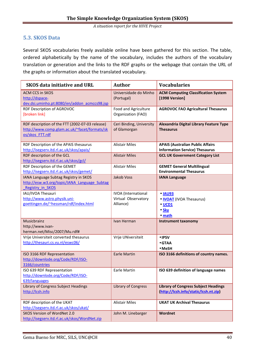## **5.3. SKOS Data**

Several SKOS vocabularies freely available online have been gathered for this section. The table, ordered alphabetically by the name of the vocabulary, includes the authors of the vocabulary translation or generation and the links to the RDF graphs or the webpage that contain the URL of the graphs or information about the translated vocabulary.

| <b>SKOS data initiative and URL</b>                                                                                | <b>Author</b>                                                  | <b>Vocabularies</b>                                                                    |
|--------------------------------------------------------------------------------------------------------------------|----------------------------------------------------------------|----------------------------------------------------------------------------------------|
| <b>ACM CCS in SKOS</b><br>http://dspace-<br>dev.dsi.uminho.pt:8080/en/addon acmccs98.jsp                           | Universidade do Minho<br>(Portugal)                            | <b>ACM Computing Classification System</b><br>[1998 Version]                           |
| RDF Description of AGROVOC<br>[broken link]                                                                        | Food and Agriculture<br>Organization (FAO)                     | <b>AGROVOC FAO Agricultural Thesaurus</b>                                              |
| RDF description of the FTT (2002-07-03 release)<br>http://www.comp.glam.ac.uk/~facet/formats/sk<br>os/skos FTT.rdf | Ceri Binding, University<br>of Glamorgan                       | Alexandria Digital Library Feature Type<br><b>Thesaurus</b>                            |
| RDF Description of the APAIS thesaurus<br>http://isegserv.itd.rl.ac.uk/skos/apais/                                 | <b>Alistair Miles</b>                                          | <b>APAIS (Australian Public Affairs</b><br><b>Information Service) Thesaurus</b>       |
| RDF description of the GCL<br>http://isegserv.itd.rl.ac.uk/skos/gcl/                                               | <b>Alistair Miles</b>                                          | <b>GCL UK Government Category List</b>                                                 |
| RDF Description of the GEMET<br>http://isegserv.itd.rl.ac.uk/skos/gemet/                                           | <b>Alistair Miles</b>                                          | <b>GEMET General Multilingual</b><br><b>Environmental Thesaurus</b>                    |
| IANA Language Subtag Registry in SKOS<br>http://esw.w3.org/topic/IANA Language Subtag<br>Registry in SKOS          | <b>Jakob Voss</b>                                              | <b>IANA Language</b>                                                                   |
| IAU/IVOA Thesauri<br>http://www.astro.physik.uni-<br>goettingen.de/~hessman/rdf/index.html                         | <b>IVOA</b> (International<br>Virtual Observatory<br>Alliance) | <b>• IAU93</b><br>• <b>IVOAT</b> (IVOA Thesaurus)<br>$\bullet$ UCD1<br>• Sky<br>• math |
| Musicbrainz<br>http://www.ivan-<br>herman.net/Misc/2007/Mu.rdf#                                                    | Ivan Herman                                                    | Instrument taxonomy                                                                    |
| Vrije Universiteit converted thesaurus<br>http://thesauri.cs.vu.nl/eswc06/                                         | Vrije UNiversiteit                                             | • IPSV<br>$\bullet$ GTAA<br>$\bullet$ MeSH                                             |
| ISO 3166 RDF Representation<br>http://downlode.org/Code/RDF/ISO-<br>3166/countries                                 | <b>Earle Martin</b>                                            | ISO 3166 definitions of country names.                                                 |
| ISO 639 RDF Representation<br>http://downlode.org/Code/RDF/ISO-<br>639/languages                                   | <b>Earle Martin</b>                                            | ISO 639 definition of language names                                                   |
| Library of Congress Subject Headings<br>http://lcsh.info                                                           | Library of Congress                                            | <b>Library of Congress Subject Headings</b><br>(http://lcsh.info/static/lcsh.nt.zip)   |
| RDF description of the UKAT<br>http://isegserv.itd.rl.ac.uk/skos/ukat/                                             | <b>Alistair Miles</b>                                          | <b>UKAT UK Archival Thesaurus</b>                                                      |
| <b>SKOS Version of WordNet 2.0</b><br>http://isegserv.itd.rl.ac.uk/skos/WordNet.zip                                | John M. Linebarger                                             | Wordnet                                                                                |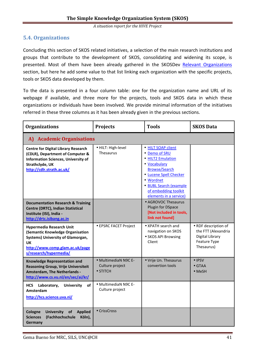## **5.4. Organizations**

Concluding this section of SKOS related initiatives, a selection of the main research institutions and groups that contribute to the development of SKOS, consolidating and widening its scope, is presented. Most of them have been already gathered in the SKOSDev Relevant Organizations section, but here he add some value to that list linking each organization with the specific projects, tools or SKOS data developed by them.

To the data is presented in a four column table: one for the organization name and URL of its webpage if available, and three more for the projects, tools and SKOS data in which these organizations or individuals have been involved. We provide minimal information of the initiatives referred in these three columns as it has been already given in the previous sections.

| <b>Organizations</b>                                                                                                                                                         | <b>Projects</b>                                             | <b>Tools</b>                                                                                                                                                                                                        | <b>SKOS Data</b>                                                                             |  |  |
|------------------------------------------------------------------------------------------------------------------------------------------------------------------------------|-------------------------------------------------------------|---------------------------------------------------------------------------------------------------------------------------------------------------------------------------------------------------------------------|----------------------------------------------------------------------------------------------|--|--|
| A) Academic Organisations                                                                                                                                                    |                                                             |                                                                                                                                                                                                                     |                                                                                              |  |  |
| <b>Centre for Digital Library Research</b><br>(CDLR), Department of Computer &<br><b>Information Sciences, University of</b><br>Strathclyde, UK<br>http://cdlr.strath.ac.uk/ | · HILT: High-level<br>Thesaurus                             | • HILT SOAP client<br>• Demo of SRU<br>• HILT2 Emulation<br>• Vocabulary<br><b>Browse/Search</b><br>• Lucene Spell Checker<br>• Wordnet<br>• BUBL Search (example<br>of embedding toolkit<br>elements in a service) |                                                                                              |  |  |
| <b>Documentation Research &amp; Training</b><br>Centre (DRTC), Indian Statistical<br>Institute (ISI), India -<br>http://drtc.isibang.ac.in                                   |                                                             | • AGROVOC Thesaurus<br>Plugin for DSpace<br>[Not included in tools,<br>link not found]                                                                                                                              |                                                                                              |  |  |
| <b>Hypermedia Research Unit</b><br>(Semantic Knowledge Organisation<br>Systems) University of Glamorgan,<br>UK<br>http://www.comp.glam.ac.uk/page<br>s/research/hypermedia/  | • EPSRC FACET Project                                       | • XPATH search and<br>navigation on SKOS<br>• SKOS API Browsing<br>Client                                                                                                                                           | • RDF description of<br>the FTT (Alexandria<br>Digital Library<br>Feature Type<br>Thesaurus) |  |  |
| <b>Knowledge Representation and</b><br>Reasoning Group, Vrije Universiteit<br><b>Amsterdam, The Netherlands -</b><br>http://www.cs.vu.nl/en/sec/ai/kr/                       | • MultimediaN N9C E-<br>Culture project<br>$\bullet$ STITCH | • Vrije Un. Thesaurus<br>convertion tools                                                                                                                                                                           | $\bullet$ IPSV<br>$\bullet$ GTAA<br>$\bullet$ MeSH                                           |  |  |
| HCS Laboratory,<br><b>University</b><br>οf<br>Amsterdam<br>http://hcs.science.uva.nl/                                                                                        | · MultimediaN N9C E-<br>Culture project                     |                                                                                                                                                                                                                     |                                                                                              |  |  |
| <b>University</b><br>Cologne<br>of<br><b>Applied</b><br><b>Sciences</b><br>(Fachhochschule<br>Köln),<br>Germany                                                              | • CrissCross                                                |                                                                                                                                                                                                                     |                                                                                              |  |  |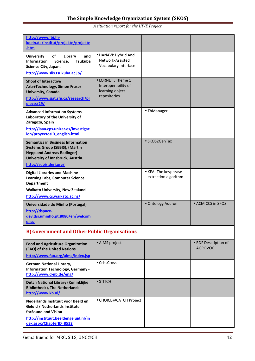| http://www.fbi.fh-                                                         |                                          |                      |                                        |
|----------------------------------------------------------------------------|------------------------------------------|----------------------|----------------------------------------|
| koeln.de/institut/projekte/projekte<br>.htm                                |                                          |                      |                                        |
| <b>University</b><br>οf<br>Library<br>and                                  | · HANAVI: Hybrid And<br>Network-Assisted |                      |                                        |
| <b>Tsukuba</b><br><b>Information</b><br>Science,<br>Science City, Japan.   | Vocabulary Interface                     |                      |                                        |
| http://www.slis.tsukuba.ac.jp/                                             |                                          |                      |                                        |
| <b>Shool of Interactive</b>                                                | • LORNET, Theme 1                        |                      |                                        |
| Arts+Technology, Simon Fraser                                              | Interoperability of                      |                      |                                        |
| University, Canada                                                         | learning object<br>repositories          |                      |                                        |
| http://www.siat.sfu.ca/research/pr<br>ojects/29/                           |                                          |                      |                                        |
| <b>Advanced Information Systems</b>                                        |                                          | • ThManager          |                                        |
| Laboratory of the University of<br>Zaragoza, Spain                         |                                          |                      |                                        |
| http://iaaa.cps.unizar.es/investigac                                       |                                          |                      |                                        |
| ion/proyectosID english.html                                               |                                          |                      |                                        |
| <b>Semantics in Business Information</b>                                   |                                          | • SKOS2GenTax        |                                        |
| <b>Systems Group (SEBIS), (Martin</b><br><b>Hepp and Andreas Radinger)</b> |                                          |                      |                                        |
| University of Innsbruck, Austria.                                          |                                          |                      |                                        |
| http://sebis.deri.org/                                                     |                                          |                      |                                        |
| <b>Digital Libraries and Machine</b>                                       |                                          | • KEA-The keyphrase  |                                        |
| <b>Learning Labs, Computer Science</b><br><b>Department</b>                |                                          | extraction algorithm |                                        |
| <b>Waikato University, New Zealand</b>                                     |                                          |                      |                                        |
| http://www.cs.waikato.ac.nz/                                               |                                          |                      |                                        |
| Universidade do Minho (Portugal)                                           |                                          | · Ontology Add-on    | • ACM CCS in SKOS                      |
| http://dspace-                                                             |                                          |                      |                                        |
| dev.dsi.uminho.pt:8080/en/welcom<br>e.jsp                                  |                                          |                      |                                        |
| <b>B)</b> Government and Other Public Organisations                        |                                          |                      |                                        |
|                                                                            |                                          |                      |                                        |
| <b>Food and Agriculture Organization</b>                                   | • AIMS project                           |                      | • RDF Description of<br><b>AGROVOC</b> |
| (FAO) of the United Nations                                                |                                          |                      |                                        |
| http://www.fao.org/aims/index.jsp                                          | • CrissCross                             |                      |                                        |
| German National Library,<br><b>Information Technology, Germany -</b>       |                                          |                      |                                        |
| http://www.d-nb.de/eng/                                                    |                                          |                      |                                        |
| Dutch National Library (Koninklijke                                        | $\bullet$ STITCH                         |                      |                                        |
| <b>Bibliotheek), The Netherlands -</b><br>http://www.kb.nl/                |                                          |                      |                                        |
| Nederlands Instituut voor Beeld en                                         | • CHOICE@CATCH Project                   |                      |                                        |
| Geluid / Netherlands Institute                                             |                                          |                      |                                        |
| forSound and Vision                                                        |                                          |                      |                                        |
| http://instituut.beeldengeluid.nl/in<br>dex.aspx?ChapterID=8532            |                                          |                      |                                        |
|                                                                            |                                          |                      |                                        |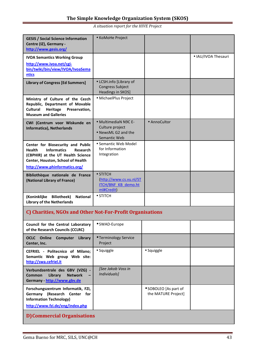| <b>GESIS / Social Science Information</b><br>Centre (IZ), Germany -<br>http://www.gesis.org/                                                                                                           | • KoMoHe Project                                                                        |                                              |                     |  |
|--------------------------------------------------------------------------------------------------------------------------------------------------------------------------------------------------------|-----------------------------------------------------------------------------------------|----------------------------------------------|---------------------|--|
| <b>IVOA Semantics Working Group</b><br>http://www.ivoa.net/cgi-<br>bin/twiki/bin/view/IVOA/IvoaSema<br>ntics                                                                                           |                                                                                         |                                              | • IAU/IVOA Thesauri |  |
| <b>Library of Congress [Ed Summers]</b>                                                                                                                                                                | • LCSH.info [Library of<br>Congress Subject<br>Headings in SKOS]                        |                                              |                     |  |
| Ministry of Culture of the Cezch<br>Republic, Department of Movable<br>Heritage<br><b>Cultural</b><br>Preservation,<br><b>Museum and Galleries</b>                                                     | · MichaelPlus Project                                                                   |                                              |                     |  |
| CWI (Centrum voor Wiskunde en<br>Informatica), Netherlands                                                                                                                                             | • MultimediaN N9C E-<br>Culture project<br>• NewsML G2 and the<br>Semantic Web          | • AnnoCultor                                 |                     |  |
| Center for Biosecurity and Public<br><b>Informatics</b><br><b>Health</b><br><b>Research</b><br>(CBPHIR) at the UT Health Science<br>Center, Houston, School of Health<br>http://www.phinformatics.org/ | • Semantic Web Model<br>for Information<br>Integration                                  |                                              |                     |  |
| Bibliothèque nationale de France<br>(National Library of France)                                                                                                                                       | $\bullet$ STITCH<br>(http://www.cs.vu.nl/ST<br><b>ITCH/BNF KB demo.ht</b><br>ml#Credit) |                                              |                     |  |
| (Koninklijke Biliotheek)<br><b>National</b><br><b>Library of the Netherlands</b>                                                                                                                       | $\bullet$ STITCH                                                                        |                                              |                     |  |
| C) Charities, NGOs and Other Not-For-Profit Organisations                                                                                                                                              |                                                                                         |                                              |                     |  |
| Council for the Central Laboratory<br>of the Research Councils (CCLRC)                                                                                                                                 | • SWAD-Europe                                                                           |                                              |                     |  |
| <b>OCLC</b> Online<br>Computer<br>Library<br>Center, Inc.                                                                                                                                              | • Terminology Service<br>Project                                                        |                                              |                     |  |
| CEFRIEL - Politecnico of Milano;<br>Semantic Web group Web site:<br>http://swa.cefriel.it                                                                                                              | • Squiggle                                                                              | • Squiggle                                   |                     |  |
| Verbundzentrale des GBV (VZG) -<br><b>Network</b><br><b>Common</b><br>Library<br>Germany - http://www.gbv.de                                                                                           | [See Jakob Voss in<br>Individuals]                                                      |                                              |                     |  |
| Forschungszentrum Informatik, FZI,<br>Germany (Research Center for<br><b>Information Technology)</b><br>http://www.fzi.de/eng/index.php                                                                |                                                                                         | • SOBOLEO [As part of<br>the MATURE Project] |                     |  |
| <b>D) Commercial Organisations</b>                                                                                                                                                                     |                                                                                         |                                              |                     |  |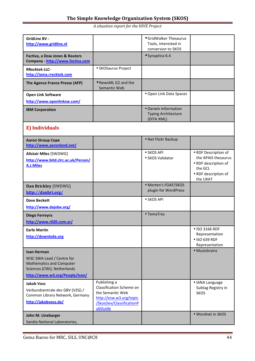| <b>GridLine BV -</b><br>http://www.gridline.nl                                                                                        |                                                                                                                                       | • GridWalker Thesaurus<br>Tools, interested in<br>conversion to SKOS |                                                                                                                    |
|---------------------------------------------------------------------------------------------------------------------------------------|---------------------------------------------------------------------------------------------------------------------------------------|----------------------------------------------------------------------|--------------------------------------------------------------------------------------------------------------------|
| Factiva, a Dow Jones & Reuters<br>Company - http://www.factiva.com                                                                    |                                                                                                                                       | • Synaptica 6.4                                                      |                                                                                                                    |
| <b>RRecktek LLC-</b><br>http://iama.rrecktek.com                                                                                      | • SKOSaurus Project                                                                                                                   |                                                                      |                                                                                                                    |
| The Agence France Presse (AFP)                                                                                                        | • NewsML G2 and the<br>Semantic Web                                                                                                   |                                                                      |                                                                                                                    |
| <b>Open Link Software</b><br>http://www.openlinksw.com/                                                                               |                                                                                                                                       | • Open Link Data Spaces                                              |                                                                                                                    |
| <b>IBM Corporation</b>                                                                                                                |                                                                                                                                       | • Darwin Information<br><b>Typing Architecture</b><br>(DITA XML)     |                                                                                                                    |
| <b>E</b> ) Individuals                                                                                                                |                                                                                                                                       |                                                                      |                                                                                                                    |
| <b>Aaron Straup Cope</b><br>http://www.aaronland.net/                                                                                 |                                                                                                                                       | • Net Flickr Backup                                                  |                                                                                                                    |
| <b>Alistair Miles [SWDWG]</b><br>http://www.bitd.clrc.ac.uk/Person/<br>A.J.Miles                                                      |                                                                                                                                       | • SKOS API<br>• SKOS Validator                                       | • RDF Description of<br>the APAIS thesaurus<br>• RDF description of<br>the GCL<br>• RDF description of<br>the UKAT |
| Dan Brickley [SWDWG]                                                                                                                  |                                                                                                                                       | • Morten's FOAF/SKOS                                                 |                                                                                                                    |
| http://danbri.org/                                                                                                                    |                                                                                                                                       | plugin for WordPress                                                 |                                                                                                                    |
| <b>Dave Beckett</b><br>http://www.dajobe.org/                                                                                         |                                                                                                                                       | • SKOS API                                                           |                                                                                                                    |
| Diego Ferreyra<br>http://www.r020.com.ar/                                                                                             |                                                                                                                                       | • TemaTres                                                           |                                                                                                                    |
| <b>Earle Martin</b><br>http://downlode.org                                                                                            |                                                                                                                                       |                                                                      | • ISO 3166 RDF<br>Representation<br>• ISO 639 RDF<br>Representation                                                |
| Ivan Herman<br>W3C SWA Lead / Centre for<br>Mathematics and Computer<br>Sciences (CWI), Netherlands<br>http://www.w3.org/People/Ivan/ |                                                                                                                                       |                                                                      | • Musicbrainz                                                                                                      |
| <b>Jakob Voss</b><br>Verbundzentrale des GBV (VZG) /<br>Common Library Network, Germany<br>http://jakobvoss.de/                       | Publishing a<br>Classification Scheme on<br>the Semantic Web<br>http://esw.w3.org/topic<br><b>/SkosDev/ClassificationP</b><br>ubGuide |                                                                      | • IANA Language<br>Subtag Registry in<br><b>SKOS</b>                                                               |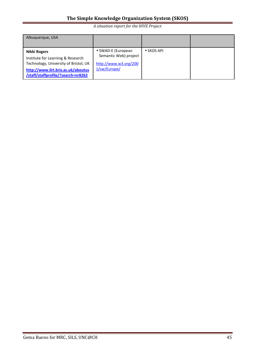| Albuquerque, USA                                                                                                                                                       |                                                                                      |                    |  |
|------------------------------------------------------------------------------------------------------------------------------------------------------------------------|--------------------------------------------------------------------------------------|--------------------|--|
| Nikki Rogers<br>Institute for Learning & Research<br>Technology, University of Bristol, UK<br>http://www.ilrt.bris.ac.uk/aboutus<br>/staff/staffprofile/?search=nr8262 | • SWAD-E (European<br>Semantic Web) project<br>http://www.w3.org/200<br>1/sw/Europe/ | $\bullet$ SKOS API |  |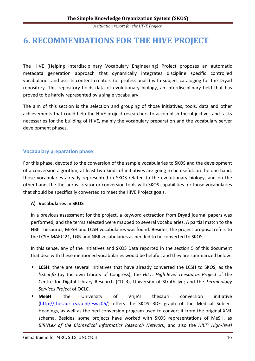## **6. RECOMMENDATIONS FOR THE HIVE PROJECT**

The HIVE (Helping Interdisciplinary Vocabulary Engineering) Project proposes an automatic metadata generation approach that dynamically integrates discipline specific controlled vocabularies and assists content creators (or professionals) with subject cataloging for the Dryad repository. This repository holds data of evolutionary biology, an interdisciplinary field that has proved to be hardly represented by a single vocabulary.

The aim of this section is the selection and grouping of those initiatives, tools, data and other achievements that could help the HIVE project researchers to accomplish the objectives and tasks necessaries for the building of HIVE, mainly the vocabulary preparation and the vocabulary server development phases.

## **Vocabulary preparation phase**:

For this phase, devoted to the conversion of the sample vocabularies to SKOS and the development of a conversion algorithm, at least two kinds of initiatives are going to be useful: on the one hand, those vocabularies already represented in SKOS related to the evolutionary biology, and on the other hand, the thesaurus creator or conversion tools with SKOS capabilities for those vocabularies that should be specifically converted to meet the HIVE Project goals.

## **A) Vocabularies in SKOS**

In a previous assessment for the project, a keyword extraction from Dryad journal papers was performed, and the terms selected were mapped to several vocabularies. A partial match to the NBII Thesaurus, MeSH and LCSH vocabularies was found. Besides, the project proposal refers to the LCSH MARC 21, TGN and NBII vocabularies as needed to be converted to SKOS.

In this sense, any of the initiatives and SKOS Data reported in the section 5 of this document that deal with these mentioned vocabularies would be helpful, and they are summarized below:

- **LCSH**: there are several initiatives that have already converted the LCSH to SKOS, as the *lcsh.info* (by the own Library of Congress), the *HILT: High-level Thesaurus Project* of the Centre for Digital Library Research (CDLR), University of Strathclye; and the *Terminology Services Project* of OCLC.
- **MeSH**: the University of Vrije's thesauri conversion initiative (http://thesauri.cs.vu.nl/eswc06/) offers the SKOS RDF graph of the Medical Subject Headings, as well as the perl conversion program used to convert it from the original XML schema. Besides, some projects have worked with SKOS representations of MeSH, as *BIRNLex of the Biomedical Informatics Research Network*, and also the *HILT: High-level*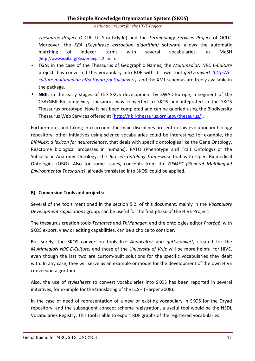*Thesaurus Project* (CDLR, U. Strathclyde) and the *Terminology Services Project* of OCLC. Moreover, the *KEA (Keyphrase extraction algorithm)* software allows the automatic matching of indexer terms with several vocabularies, as MeSH (http://www.nzdl.org/Kea/examples2.html).

- **TGN**: in the case of the Thesaurus of Geographic Names, the *MultimediaN N9C E-Culture* project, has converted this vocabulary into RDF with its own tool *gettyconvert (http://eculture.multimedian.nl/software/gettyconvert)*, and the XML schemas are freely available in the package.
- **NBII**: in the early stages of the SKOS development by SWAD-Europe, a segment of the CSA/NBII Biocomplexity Thesaurus was converted to SKOS and integrated in the SKOS Thesaurus prototype. Now it has been completed and can be queried using the Biodiversity Thesaurus Web Services offered at (http://nbii-thesaurus.ornl.gov/thesaurus/).

Furthermore, and taking into account the main disciplines present in this evolutionary biology repository, other initiatives using science vocabularies could be interesting: for example, the *BIRNLex: a lexicon for neurosciences*, that deals with specific ontologies like the Gene Ontology, Reactome biological processes in humans), PATO (Phenotype and Trait Ontology) or the Subcellular Anatomy Ontology; the *Bio-zen ontology framework* that with Open Biomedical Ontologies (OBO). Also for some issues, concepts from the *GEMET (General Multilingual Environmental Thesaurus)*, already translated into SKOS, could be applied.

## **B) Conversion Tools and projects:**

Several of the tools mentioned in the section 5.2. of this document, mainly in the *Vocabulary Development Applications* group, can be useful for the first phase of the HIVE Project.

The thesaurus creation tools *Tematres* and *ThManager*, and the ontologies editor *Protégé*, with SKOS export, view or editing capabilities, can be a choice to consider.

But surely, the SKOS conversion tools like *Annocultor* and *gettyconvert*, created for the *MultimediaN N9C E-Culture,* and those of the *University of Vrije* will be more helpful for HIVE, even though the last two are custom-built solutions for the specific vocabularies they dealt with. In any case, they will serve as an example or model for the development of the own HIVE conversion algorithm.

Also, the use of *stylesheets* to convert vocabularies into SKOS has been reported in several initiatives, for example for the translating of the LCSH (Harper 2008).

In the case of need of representation of a new or existing vocabulary in SKOS for the Dryad repository, and the subsequent concept scheme registration, a useful tool would be the NSDL Vocabularies Registry. This tool is able to export RDF graphs of the registered vocabularies.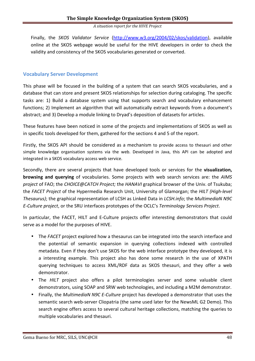Finally, the *SKOS Validator Service* (http://www.w3.org/2004/02/skos/validation), available online at the SKOS webpage would be useful for the HIVE developers in order to check the validity and consistency of the SKOS vocabularies generated or converted.

## **Vocabulary Server Development**

This phase will be focused in the building of a system that can search SKOS vocabularies, and a database that can store and present SKOS relationships for selection during cataloging. The specific tasks are: 1) Build a database system using that supports search and vocabulary enhancement functions; 2) Implement an algorithm that will automatically extract keywords from a document's abstract; and 3) Develop a module linking to Dryad's deposition of datasets for articles.

These features have been noticed in some of the projects and implementations of SKOS as well as in specific tools developed for them, gathered for the sections 4 and 5 of the report.

Firstly, the SKOS API should be considered as a mechanism to provide access to thesauri and other simple knowledge organisation systems via the web. Developed in Java, this API can be adopted and integrated in a SKOS vocabulary access web service.

Secondly, there are several projects that have developed tools or services for the **visualization, browsing and querying** of vocabularies. Some projects with web search services are: the *AIMS project* of FAO; the *CHOICE@CATCH Project;* the *HANAVI* graphical browser of the Univ. of Tsukuba; the *FACET Project* of the Hypermedia Research Unit, University of Glamorgan; the *HILT (High-level Thesaurus)*; the graphical representation of LCSH as Linked Data in *LCSH.info*; the *MultimediaN N9C E-Culture project*, or the SRU interfaces prototypes of the OCLC's *Terminology Services Project*.

In particular, the FACET, HILT and E-Culture projects offer interesting demonstrators that could serve as a model for the purposes of HIVE.

- The *FACET* project explored how a thesaurus can be integrated into the search interface and the potential of semantic expansion in querying collections indexed with controlled metadata. Even if they don't use SKOS for the web interface prototype they developed, it is a interesting example. This project also has done some research in the use of XPATH querying techniques to access XML/RDF data as SKOS thesauri, and they offer a web demonstrator.
- The *HILT* project also offers a pilot terminologies server and some valuable client demonstrators, using SOAP and SRW web technologies, and including a M2M demonstrator.
- Finally, the *MultimediaN N9C E-Culture* project has developed a demonstrator that uses the semantic search web-server Cliopatria (the same used later for the NewsML G2 Demo). This search engine offers access to several cultural heritage collections, matching the queries to multiple vocabularies and thesauri.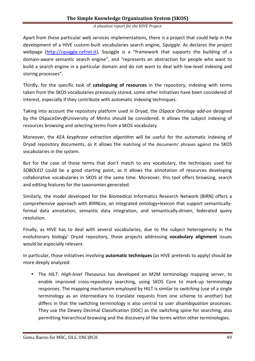#### *A situation report for the HIVE Project*

Apart from these particular web services implementations, there is a project that could help in the development of a HIVE custom-built vocabularies search engine, *Squiggle*. As declares the project webpage (http://squiggle.cefriel.it), Squiggle is a "framework that supports the building of a domain-aware semantic search engine", and "represents an abstraction for people who want to build a search engine in a particular domain and do not want to deal with low-level indexing and storing processes".

Thirdly, for the specific task of **cataloguing of resources** in the repository, indexing with terms taken from the SKOS vocabularies previously stored, some other initiatives have been considered of interest, especially if they contribute with automatic indexing techniques.

Taking into account the repository platform used in Dryad, the *DSpace Ontology add-on* designed by the DSpaceDev@University of Minho should be considered. It allows the subject indexing of resources browsing and selecting terms from a SKOS vocabulary.

Moreover, the *KEA keyphrase extraction algorithm* will be useful for the automatic indexing of Dryad repository documents, as it allows the matching of the documents' phrases against the SKOS vocabularies in the system.

But for the case of those terms that don't match to any vocabulary, the techniques used for *SOBOLEO* could be a good starting point, as it allows the annotation of resources developing collaborative vocabularies in SKOS at the same time. Moreover, this tool offers browsing, search and editing features for the taxonomies generated.

Similarly, the model developed for the Biomedical Informatics Research Network (BIRN) offers a comprehensive approach with *BIRNLex*, an integrated ontology+lexicon that support semanticallyformal data annotation, semantic data integration, and semantically-driven, federated query resolution.

Finally, as HIVE has to deal with several vocabularies, due to the subject heterogeneity in the evolutionary biology' Dryad repository, those projects addressing **vocabulary alignment** issues would be especially relevant.

In particular, those initiatives involving **automatic techniques** (as HIVE pretends to apply) should be more deeply analyzed:

• The *HILT: High-level Thesaurus* has developed an M2M terminology mapping server, to enable improved cross-repository searching, using SKOS Core to mark-up terminology responses. The mapping mechanism employed by HILT is similar to *switching* (use of a single terminology as an intermediary to translate requests from one scheme to another) but differs in that the switching terminology is also central to user *disambiguation* processes. They use the Dewey Decimal Classification (DDC) as the switching spine for searching, also permitting hierarchical browsing and the discovery of like terms within other terminologies.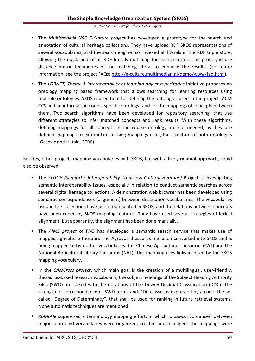- The *MultimediaN N9C E-Culture project* has developed a prototype for the search and annotation of cultural heritage collections. They have upload RDF SKOS representations of several vocabularies, and the search engine has indexed all literals in the RDF triple store, allowing the quick find of all RDF literals matching the search terms. The prototype use distance metric techniques of the matching literal to enhance the results. (For more information, see the project FAQs: http://e-culture.multimedian.nl/demo/www/faq.html).
- The *LORNET*, Theme 1 Interoperability of learning object repositories initiative proposes an ontology mapping based framework that allows searching for learning resources using multiple ontologies. SKOS is used here for defining the ontologies used in the project (ACM CCS and an information course specific ontology) and for the mappings of concepts between them. Two search algorithms have been developed for repository searching, that use different strategies to infer matched concepts and rank results. With these algorithms, defining mappings for all concepts in the course ontology are not needed, as they use defined mappings to extrapolate missing mappings using the structure of both ontologies (Gasevic and Hatala, 2006).

Besides, other projects mapping vocabularies with SKOS, but with a likely **manual approach**, could also be observed:

- The *STITCH (SemánTic Interoperability To access Cultural Heritage)* Project is investigating semantic interoperability issues, especially in relation to conduct semantic searches across several digital heritage collections. A demonstration web browser has been developed using semantic correspondences (alignment) between description vocabularies. The vocabularies used in the collections have been represented in SKOS, and the relations between concepts have been coded by SKOS mapping features. They have used several strategies of lexical alignment, but apparently, the alignment has been done manually.
- The *AIMS project* of FAO has developed a semantic search service that makes use of mapped agriculture thesauri. The Agrovoc thesaurus has been converted into SKOS and is being mapped to two other vocabularies: the Chinese Agricultural Thesaurus (CAT) and the National Agricultural Library thesaurus (NAL). This mapping uses links inspired by the SKOS mapping vocabulary.
- In the *CrissCross project*, which main goal is the creation of a multilingual, user-friendly, thesaurus-based research vocabulary, the subject headings of the Subject Heading Authority Files (SWD) are linked with the notations of the Dewey Decimal Classification (DDC). The strength of correspondence of SWD terms and DDC classes is expressed by a code, the socalled "Degree of Determinacy", that shall be used for ranking in future retrieval systems. None automatic techniques are mentioned.
- *KoMoHe* supervised a terminology mapping effort, in which 'cross-concordances' between major controlled vocabularies were organized, created and managed. The mappings were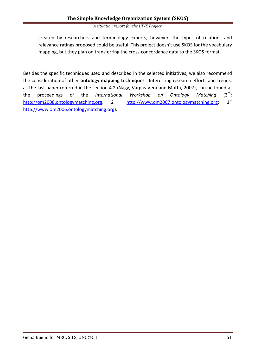created by researchers and terminology experts, however, the types of relations and relevance ratings proposed could be useful. This project doesn't use SKOS for the vocabulary mapping, but they plan on transferring the cross-concordance data to the SKOS format.

Besides the specific techniques used and described in the selected initiatives, we also recommend the consideration of other **ontology mapping techniques**. Interesting research efforts and trends, as the last paper referred in the section 4.2 (Nagy, Vargas-Vera and Motta, 2007), can be found at the proceedings of the *International Workshop on Ontology Matching*  $(3^{\text{rd}})$ : http://om2008.ontologymatching.org, 2<sup>nd</sup>: http://www.om2007.ontologymatching.org; 1<sup>st</sup> http://www.om2006.ontologymatching.org).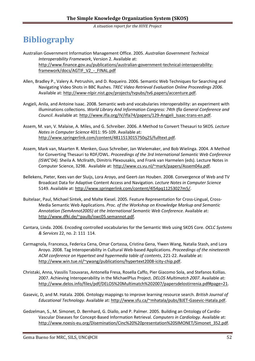## **Bibliography**

- Australian Government Information Management Office. 2005. *Australian Government Technical Interoperability Framework*, Version 2. Available at: http://www.finance.gov.au/publications/australian-government-technical-interoperabilityframework/docs/AGTIF\_V2\_-\_FINAL.pdf
- Allen, Bradley P., Valery A. Petrushin, and D. Roqueiro. 2006. Semantic Web Techniques for Searching and Navigating Video Shots in BBC Rushes. *TREC Video Retrieval Evaluation Online Proceedings 2006*. Available at: http://www-nlpir.nist.gov/projects/tvpubs/tv6.papers/accenture.pdf.
- Angjeli, Anila, and Antoine Isaac. 2008. Semantic web and vocabularies interoperability: an experiment with illuminations collections. *World Library And Information Congress: 74th Ifla General Conference and Council*. Available at: http://www.ifla.org/IV/ifla74/papers/129-Angjeli\_Isaac-trans-en.pdf.
- Assem, M. van, V. Malaise, A. Miles, and G. Schreiber. 2006. A Method to Convert Thesauri to SKOS. *Lecture Notes in Computer Science* 4011: 95-109. Available at: http://www.springerlink.com/content/4811513015750q25/fulltext.pdf.
- Assem, Mark van, Maarten R. Menken, Guus Schreiber, Jan Wielemaker, and Bob Wielinga. 2004. A Method for Converting Thesauri to RDF/OWL. *Proceedings of the 3rd International Semantic Web Conference (ISWC'04).* Sheila A. McIlraith, Dimitris Plexousakis, and Frank van Harmelen (eds). Lecture Notes in Computer Science, 3298. Available at: http://www.cs.vu.nl/~mark/papers/Assem04a.pdf.
- Bellekens, Pieter, Kees van der Sluijs, Lora Aroyo, and Geert-Jan Houben. 2008. Convergence of Web and TV Broadcast Data for Adaptive Content Access and Navigation. *Lecture Notes in Computer Science* 5149. Available at: http://www.springerlink.com/content/4l54pq11253027m5/.
- Buitelaar, Paul, Michael Sintek, and Malte Kiesel. 2005. Feature Representation for Cross-Lingual, Cross-Media Semantic Web Applications. *Proc. of the Workshop on Knowledge Markup and Semantic Annotation (SemAnnot2005) at the International Semantic Web Conference*. Available at: http://www.dfki.de/~paulb/iswc05.semannot.pdf.
- Cantara, Linda. 2006. Encoding controlled vocabularies for the Semantic Web using SKOS Core. *OCLC Systems & Services* 22, no. 2: 111 114.
- Carmagnola, Francesca, Federica Cena, Omar Cortassa, Cristina Gena, Yiwen Wang, Natalia Stash, and Lora Aroyo. 2008. Tag Interoperability in Cultural Web-based Applications. *Proceedings of the nineteenth ACM conference on Hypertext and hypermedia table of contents*, 221-22. Available at: http://www.win.tue.nl/~ywang/publications/hypertext2008-icity-chip.pdf.
- Christaki, Anna, Vassilis Tzouvaras, Antonella Fresa, Rosella Caffo, Pier Giacomo Sola, and Stefanos Kollias. 2007. Achieving Interoperability in the MichaelPlus Project. *DELOS Multimatch 2007*. Available at: http://www.delos.info/files/pdf/DELOS%20Multimatch%202007/papersdelostirrenia.pdf#page=21.
- Gasevic, D, and M. Hatala. 2006. Ontology mappings to improve learning resource search. *British Journal of Educational Technology*. Available at: http://www.sfu.ca/~mhatala/pubs/BJET-Gasevic-Hatala.pdf.
- Gedzelman, S., M. Simonet, D. Bernhard, G. Diallo, and P. Palmer. 2005. Building an Ontology of Cardio-Vascular Diseases for Concept-Based Information Retrieval. *Computers in Cardiology*. Available at: http://www.noesis-eu.org/Disemination/Cinc%20%20presentation%20SIMONET/Simonet\_352.pdf.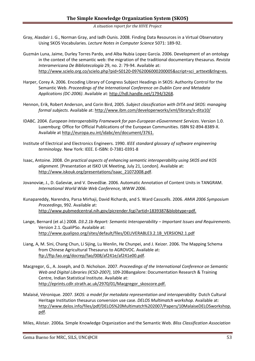- Gray, Alasdair J. G., Norman Gray, and Iadh Ounis. 2008. Finding Data Resources in a Virtual Observatory Using SKOS Vocabularies. *Lecture Notes in Computer Science* 5071: 189-92.
- Guzmán Luna, Jaime, Durley Torres Pardo, and Alba Nubia Lopez García. 2006. Development of an ontology in the context of the semantic web: the migration of the traditional documentary thesaurus. *Revista Interamericana De Bibliotecología* 29, no. 2: 79-94. Available at: http://www.scielo.org.co/scielo.php?pid=S0120-09762006000200005&script=sci\_arttext&tlng=es.
- Harper, Corey A. 2006. Encoding Library of Congress Subject Headings in SKOS: Authority Control for the Semantic Web. *Proceedings of the International Conference on Dublin Core and Metadata Applications (DC-2006)*. Available at: http://hdl.handle.net/1794/3268.
- Hennon, Erik, Robert Anderson, and Corin Bird, 2005. *Subject classification with DITA and SKOS: managing formal subjects*. Available at: http://www.ibm.com/developerworks/xml/library/x-dita10/
- IDABC. 2004. *European Interoperability Framework for pan-European eGovernment Services*. Version 1.0. Luxemburg: Office for Official Publications of the European Communities. ISBN 92-894-8389-X. Available at http://europa.eu.int/idabc/en/document/3761.
- Institute of Electrical and Electronics Engineers. 1990. *IEEE standard glossary of software engineering terminology.* New York: IEEE. E-ISBN: 0-7381-0391-8
- Isaac, Antoine. 2008. *On practical aspects of enhancing semantic interoperability using SKOS and KOS alignment*. [Presentation at ISKO UK Meeting, July 21, London]. Available at: http://www.iskouk.org/presentations/isaac\_21072008.pdf.
- Jovanoviæ, J., D. Gaševiæ, and V. Devedžiæ. 2006. Automatic Annotation of Content Units in TANGRAM. *International World Wide Web Conference, WWW 2006*.
- Kunapareddy, Narendra, Parsa Mirhaji, David Richards, and S. Ward Casscells. 2006. *AMIA 2006 Symposium Proceedings*, 992. Available at: http://www.pubmedcentral.nih.gov/picrender.fcgi?artid=1839387&blobtype=pdf.
- Lange, Bernard (et al.) 2008. *D3.2.1b Report: Semantic Interoperability Important Issues and Requirements*. Version 2.1. QualiPSo. Avalaible at: http://www.qualipso.org/sites/default/files/DELIVERABLE3.2.1B\_VERSION2.1.pdf
- Liang, A, M. Sini, Chang Chun, Li Sijing, Lu Wenlin, He Chunpei, and J. Keizer. 2006. The Mapping Schema from Chinese Agricultural Thesaurus to AGROVOC. Available at: ftp://ftp.fao.org/docrep/fao/008/af241e/af241e00.pdf.
- Macgregor, G., A. Joseph, and D. Nicholson. 2007. *Proceedings of the International Conference on Semantic Web and Digital Libraries (ICSD-2007)*, 109-20Bangalore: Documentation Research & Training Centre, Indian Statistical Institute. Available at: http://eprints.cdlr.strath.ac.uk/2970/01/Macgregor\_skoscore.pdf.
- Malaisé, Véronique. 2007. *SKOS: a model for metadata representation and interoperability* Dutch Cultural Heritage Institution thesaurus conversion use case. *DELOS Multimatch workshop*. Available at: http://www.delos.info/files/pdf/DELOS%20Multimatch%202007/Papers/10MalaiseDELOSworkshop. pdf.
- Miles, Alistair. 2006a. Simple Knowledge Organization and the Semantic Web. *Bliss Classification Association*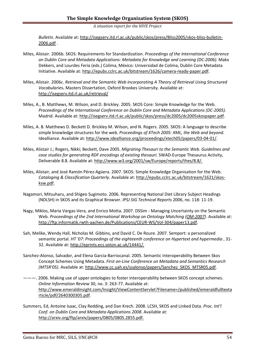*Bulletin*. Available at: http://isegserv.itd.rl.ac.uk/public/skos/press/Bliss2005/skos-bliss-bulletin-2006.pdf .

- Miles, Alistair. 2006b. SKOS: Requirements for Standardization. *Proceedings of the International Conference on Dublin Core and Metadata Applications: Metadata for Knowledge and Learning (DC-2006).* Makx Dekkers, and Lourdes Feria (eds.) Colima, México: Universidad de Colima, Dublin Core Metadata Initiative. Available at: http://epubs.cclrc.ac.uk/bitstream/1626/camera-ready-paper.pdf.
- Miles, Alistair. 2006c. *Retrieval and the Semantic Web incorporating A Theory of Retrieval Using Structured Vocabularies***.** Masters Dissertation, Oxford Brookes University. Available at: http://isegserv.itd.rl.ac.uk/retrieval/
- Miles, A., B. Matthews, M. Wilson, and D. Brickley. 2005. SKOS Core: Simple Knowledge for the Web. *Proceedings of the International Conference on Dublin Core and Metadata Applications (DC-2005).*  Madrid. Available at: http://isegserv.itd.rl.ac.uk/public/skos/press/dc2005/dc2005skospaper.pdf.
- Miles, A. B. Matthews D. Beckett D. Brickley M. Wilson, and N. Rogers. 2005. SKOS: A language to describe simple knowledge structures for the web. *Proceedings of XTech 2005: XML, the Web and beyond.* Idealliance. Available at: http://www.idealliance.org/proceedings/xtech05/papers/03-04-01/.
- Miles, Alistair J.; Rogers, Nikki; Beckett, Dave 2005. *Migrating Thesauri to the Semantic Web. Guidelines and case studies for generating RDF encodings of existing thesauri*. SWAD-Europe Thesaurus Activity, Deliverable 8.8. Available at: http://www.w3.org/2001/sw/Europe/reports/thes/8.8/.
- Miles, Alistair, and José Ramón Pérez-Agüera. 2007. SKOS: Simple Knowledge Organisation for the Web. *Cataloging & Classification Quarterly*. Available at: http://epubs.cclrc.ac.uk/bitstream/1621/skosksw.pdf.
- Nagamori, Mitsuharu, and Shigeo Sugimoto. 2006. Representing National Diet Library Subject Headings (NDLSH) in SKOS and its Graphical Browser. *IPSJ SIG Technical Reports* 2006, no. 118: 11-19.
- Nagy, Miklos, Maria Vargas-Vera, and Enrico Motta. 2007. DSSim Managing Uncertainty on the Semantic Web. *Proceedings of the 2nd International Workshop on Ontology Matching (OM-2007)*. Available at: http://ftp.informatik.rwth-aachen.de/Publications/CEUR-WS/Vol-304/paper13.pdf.
- Sah, Melike, Wendy Hall, Nicholas M. Gibbins, and David C. De Roure. 2007. Semport: a personalized semantic portal. *HT '07: Proceedings of the eighteenth conference on Hypertext and hypermedia* , 31- 32. Available at: http://eprints.ecs.soton.ac.uk/14441/.
- Sanchez-Alonso, Salvador, and Elena Garcia-Barriocanal. 2005. Semantic Interoperability Between Skos Concept Schemes Using Metadata. *First on-Line Conference on Metadata and Semantics Research (MTSR'05)*. Available at: http://www.cc.uah.es/ssalonso/papers/Sanchez\_SKOS\_MTSR05.pdf.
- ———. 2006. Making use of upper ontologies to foster interoperability between SKOS concept schemes. *Online Information Review* 30, no. 3: 263-77. Available at: http://www.emeraldinsight.com/Insight/ViewContentServlet?Filename=/published/emeraldfulltexta rticle/pdf/2640300305.pdf.
- Summers, Ed, Antoine Isaac, Clay Redding, and Dan Krech. 2008. LCSH, SKOS and Linked Data. *Proc. Int'l Conf. on Dublin Core and Metadata Applications 2008*. Available at: http://arxiv.org/ftp/arxiv/papers/0805/0805.2855.pdf.